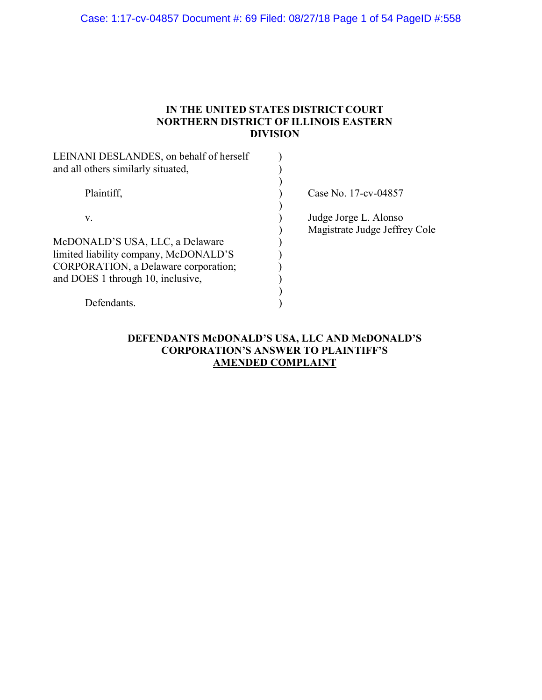### Case: 1:17-cv-04857 Document #: 69 Filed: 08/27/18 Page 1 of 54 PageID #:558

### IN THE UNITED STATES DISTRICT COURT NORTHERN DISTRICT OF ILLINOIS EASTERN DIVISION

| LEINANI DESLANDES, on behalf of herself<br>and all others similarly situated, |                                                        |
|-------------------------------------------------------------------------------|--------------------------------------------------------|
| Plaintiff,                                                                    | Case No. 17-cv-04857                                   |
| V.                                                                            | Judge Jorge L. Alonso<br>Magistrate Judge Jeffrey Cole |
| McDONALD'S USA, LLC, a Delaware                                               |                                                        |
| limited liability company, McDONALD'S                                         |                                                        |
| CORPORATION, a Delaware corporation;                                          |                                                        |
| and DOES 1 through 10, inclusive,                                             |                                                        |
|                                                                               |                                                        |
| Defendants                                                                    |                                                        |

# DEFENDANTS McDONALD'S USA, LLC AND McDONALD'S CORPORATION'S ANSWER TO PLAINTIFF'S AMENDED COMPLAINT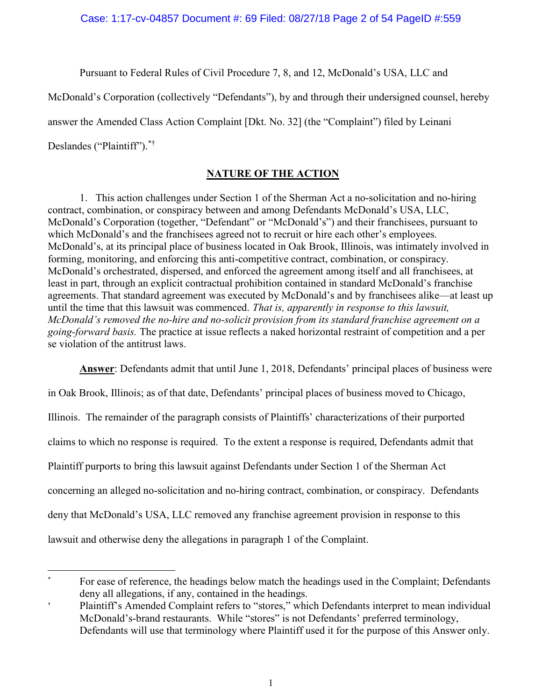Pursuant to Federal Rules of Civil Procedure 7, 8, and 12, McDonald's USA, LLC and

McDonald's Corporation (collectively "Defendants"), by and through their undersigned counsel, hereby

answer the Amended Class Action Complaint [Dkt. No. 32] (the "Complaint") filed by Leinani

Deslandes ("Plaintiff").\*†

# NATURE OF THE ACTION

1. This action challenges under Section 1 of the Sherman Act a no-solicitation and no-hiring contract, combination, or conspiracy between and among Defendants McDonald's USA, LLC, McDonald's Corporation (together, "Defendant" or "McDonald's") and their franchisees, pursuant to which McDonald's and the franchisees agreed not to recruit or hire each other's employees. McDonald's, at its principal place of business located in Oak Brook, Illinois, was intimately involved in forming, monitoring, and enforcing this anti-competitive contract, combination, or conspiracy. McDonald's orchestrated, dispersed, and enforced the agreement among itself and all franchisees, at least in part, through an explicit contractual prohibition contained in standard McDonald's franchise agreements. That standard agreement was executed by McDonald's and by franchisees alike—at least up until the time that this lawsuit was commenced. That is, apparently in response to this lawsuit, McDonald's removed the no-hire and no-solicit provision from its standard franchise agreement on a going-forward basis. The practice at issue reflects a naked horizontal restraint of competition and a per se violation of the antitrust laws.

Answer: Defendants admit that until June 1, 2018, Defendants' principal places of business were

in Oak Brook, Illinois; as of that date, Defendants' principal places of business moved to Chicago, Illinois. The remainder of the paragraph consists of Plaintiffs' characterizations of their purported claims to which no response is required. To the extent a response is required, Defendants admit that Plaintiff purports to bring this lawsuit against Defendants under Section 1 of the Sherman Act concerning an alleged no-solicitation and no-hiring contract, combination, or conspiracy. Defendants deny that McDonald's USA, LLC removed any franchise agreement provision in response to this lawsuit and otherwise deny the allegations in paragraph 1 of the Complaint.

 $\overline{a}$ For ease of reference, the headings below match the headings used in the Complaint; Defendants deny all allegations, if any, contained in the headings.

<sup>†</sup> Plaintiff's Amended Complaint refers to "stores," which Defendants interpret to mean individual McDonald's-brand restaurants. While "stores" is not Defendants' preferred terminology, Defendants will use that terminology where Plaintiff used it for the purpose of this Answer only.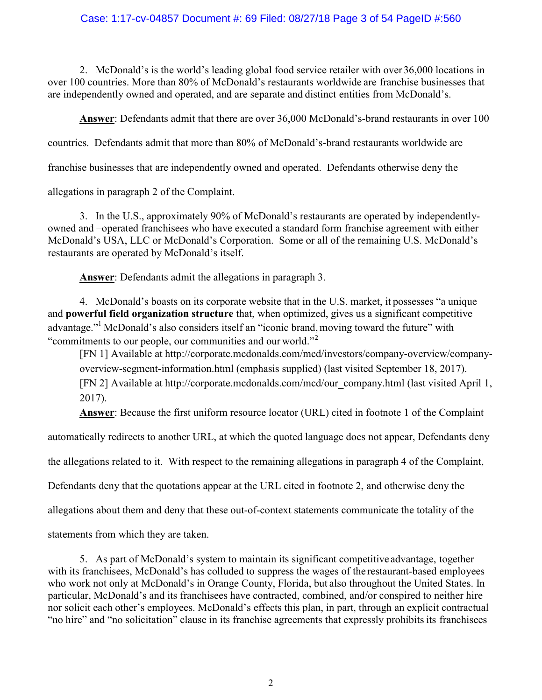#### Case: 1:17-cv-04857 Document #: 69 Filed: 08/27/18 Page 3 of 54 PageID #:560

2. McDonald's is the world's leading global food service retailer with over 36,000 locations in over 100 countries. More than 80% of McDonald's restaurants worldwide are franchise businesses that are independently owned and operated, and are separate and distinct entities from McDonald's.

Answer: Defendants admit that there are over 36,000 McDonald's-brand restaurants in over 100

countries. Defendants admit that more than 80% of McDonald's-brand restaurants worldwide are

franchise businesses that are independently owned and operated. Defendants otherwise deny the

allegations in paragraph 2 of the Complaint.

3. In the U.S., approximately 90% of McDonald's restaurants are operated by independentlyowned and –operated franchisees who have executed a standard form franchise agreement with either McDonald's USA, LLC or McDonald's Corporation. Some or all of the remaining U.S. McDonald's restaurants are operated by McDonald's itself.

Answer: Defendants admit the allegations in paragraph 3.

4. McDonald's boasts on its corporate website that in the U.S. market, it possesses "a unique and powerful field organization structure that, when optimized, gives us a significant competitive advantage."<sup>1</sup> McDonald's also considers itself an "iconic brand, moving toward the future" with "commitments to our people, our communities and our world."<sup>2</sup>

[FN 1] Available at http://corporate.mcdonalds.com/mcd/investors/company-overview/companyoverview-segment-information.html (emphasis supplied) (last visited September 18, 2017). [FN 2] Available at http://corporate.mcdonalds.com/mcd/our\_company.html (last visited April 1, 2017).

Answer: Because the first uniform resource locator (URL) cited in footnote 1 of the Complaint

automatically redirects to another URL, at which the quoted language does not appear, Defendants deny

the allegations related to it. With respect to the remaining allegations in paragraph 4 of the Complaint,

Defendants deny that the quotations appear at the URL cited in footnote 2, and otherwise deny the

allegations about them and deny that these out-of-context statements communicate the totality of the

statements from which they are taken.

5. As part of McDonald's system to maintain its significant competitive advantage, together with its franchisees, McDonald's has colluded to suppress the wages of the restaurant-based employees who work not only at McDonald's in Orange County, Florida, but also throughout the United States. In particular, McDonald's and its franchisees have contracted, combined, and/or conspired to neither hire nor solicit each other's employees. McDonald's effects this plan, in part, through an explicit contractual "no hire" and "no solicitation" clause in its franchise agreements that expressly prohibits its franchisees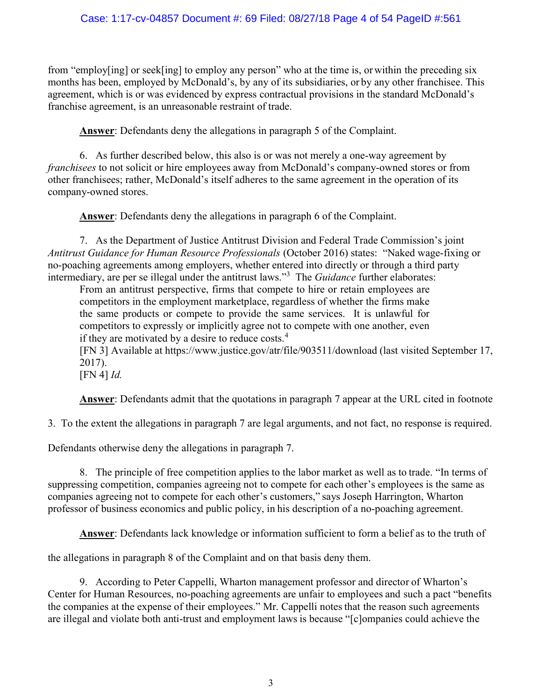### Case: 1:17-cv-04857 Document #: 69 Filed: 08/27/18 Page 4 of 54 PageID #:561

from "employ[ing] or seek[ing] to employ any person" who at the time is, or within the preceding six months has been, employed by McDonald's, by any of its subsidiaries, or by any other franchisee. This agreement, which is or was evidenced by express contractual provisions in the standard McDonald's franchise agreement, is an unreasonable restraint of trade.

Answer: Defendants deny the allegations in paragraph 5 of the Complaint.

6. As further described below, this also is or was not merely a one-way agreement by franchisees to not solicit or hire employees away from McDonald's company-owned stores or from other franchisees; rather, McDonald's itself adheres to the same agreement in the operation of its company-owned stores.

Answer: Defendants deny the allegations in paragraph 6 of the Complaint.

7. As the Department of Justice Antitrust Division and Federal Trade Commission's joint Antitrust Guidance for Human Resource Professionals (October 2016) states: "Naked wage-fixing or no-poaching agreements among employers, whether entered into directly or through a third party intermediary, are per se illegal under the antitrust laws."<sup>3</sup> The *Guidance* further elaborates:

From an antitrust perspective, firms that compete to hire or retain employees are competitors in the employment marketplace, regardless of whether the firms make the same products or compete to provide the same services. It is unlawful for competitors to expressly or implicitly agree not to compete with one another, even if they are motivated by a desire to reduce costs. $4$ 

 [FN 3] Available at https://www.justice.gov/atr/file/903511/download (last visited September 17, 2017).

 $[FN 4]$  *Id.* 

Answer: Defendants admit that the quotations in paragraph 7 appear at the URL cited in footnote

3. To the extent the allegations in paragraph 7 are legal arguments, and not fact, no response is required.

Defendants otherwise deny the allegations in paragraph 7.

8. The principle of free competition applies to the labor market as well as to trade. "In terms of suppressing competition, companies agreeing not to compete for each other's employees is the same as companies agreeing not to compete for each other's customers," says Joseph Harrington, Wharton professor of business economics and public policy, in his description of a no-poaching agreement.

Answer: Defendants lack knowledge or information sufficient to form a belief as to the truth of

the allegations in paragraph 8 of the Complaint and on that basis deny them.

9. According to Peter Cappelli, Wharton management professor and director of Wharton's Center for Human Resources, no-poaching agreements are unfair to employees and such a pact "benefits the companies at the expense of their employees." Mr. Cappelli notes that the reason such agreements are illegal and violate both anti-trust and employment laws is because "[c]ompanies could achieve the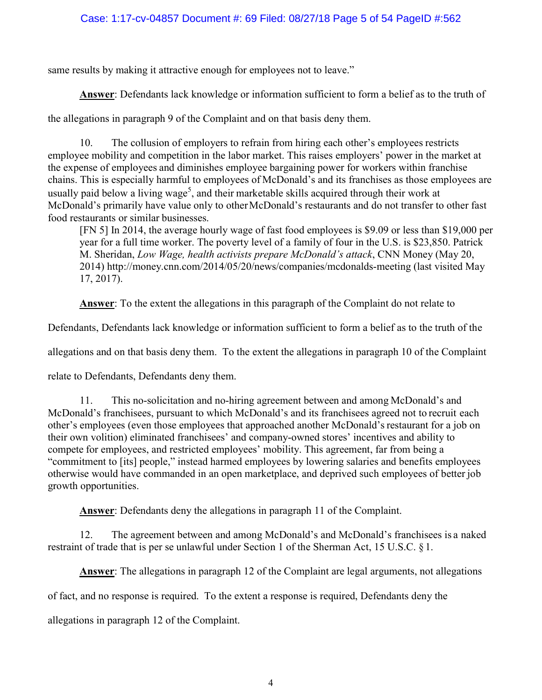### Case: 1:17-cv-04857 Document #: 69 Filed: 08/27/18 Page 5 of 54 PageID #:562

same results by making it attractive enough for employees not to leave."

Answer: Defendants lack knowledge or information sufficient to form a belief as to the truth of

the allegations in paragraph 9 of the Complaint and on that basis deny them.

10. The collusion of employers to refrain from hiring each other's employees restricts employee mobility and competition in the labor market. This raises employers' power in the market at the expense of employees and diminishes employee bargaining power for workers within franchise chains. This is especially harmful to employees of McDonald's and its franchises as those employees are usually paid below a living wage<sup>5</sup>, and their marketable skills acquired through their work at McDonald's primarily have value only to other McDonald's restaurants and do not transfer to other fast food restaurants or similar businesses.

[FN 5] In 2014, the average hourly wage of fast food employees is \$9.09 or less than \$19,000 per year for a full time worker. The poverty level of a family of four in the U.S. is \$23,850. Patrick M. Sheridan, Low Wage, health activists prepare McDonald's attack, CNN Money (May 20, 2014) http://money.cnn.com/2014/05/20/news/companies/mcdonalds-meeting (last visited May 17, 2017).

Answer: To the extent the allegations in this paragraph of the Complaint do not relate to

Defendants, Defendants lack knowledge or information sufficient to form a belief as to the truth of the

allegations and on that basis deny them. To the extent the allegations in paragraph 10 of the Complaint

relate to Defendants, Defendants deny them.

11. This no-solicitation and no-hiring agreement between and among McDonald's and McDonald's franchisees, pursuant to which McDonald's and its franchisees agreed not to recruit each other's employees (even those employees that approached another McDonald's restaurant for a job on their own volition) eliminated franchisees' and company-owned stores' incentives and ability to compete for employees, and restricted employees' mobility. This agreement, far from being a "commitment to [its] people," instead harmed employees by lowering salaries and benefits employees otherwise would have commanded in an open marketplace, and deprived such employees of better job growth opportunities.

Answer: Defendants deny the allegations in paragraph 11 of the Complaint.

12. The agreement between and among McDonald's and McDonald's franchisees is a naked restraint of trade that is per se unlawful under Section 1 of the Sherman Act, 15 U.S.C. § 1.

Answer: The allegations in paragraph 12 of the Complaint are legal arguments, not allegations

of fact, and no response is required. To the extent a response is required, Defendants deny the

allegations in paragraph 12 of the Complaint.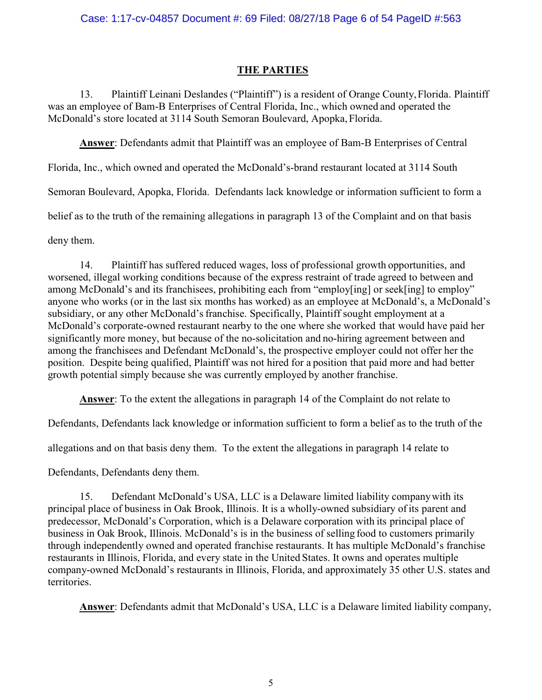# THE PARTIES

13. Plaintiff Leinani Deslandes ("Plaintiff") is a resident of Orange County, Florida. Plaintiff was an employee of Bam-B Enterprises of Central Florida, Inc., which owned and operated the McDonald's store located at 3114 South Semoran Boulevard, Apopka, Florida.

Answer: Defendants admit that Plaintiff was an employee of Bam-B Enterprises of Central

Florida, Inc., which owned and operated the McDonald's-brand restaurant located at 3114 South

Semoran Boulevard, Apopka, Florida. Defendants lack knowledge or information sufficient to form a

belief as to the truth of the remaining allegations in paragraph 13 of the Complaint and on that basis

deny them.

14. Plaintiff has suffered reduced wages, loss of professional growth opportunities, and worsened, illegal working conditions because of the express restraint of trade agreed to between and among McDonald's and its franchisees, prohibiting each from "employ[ing] or seek[ing] to employ" anyone who works (or in the last six months has worked) as an employee at McDonald's, a McDonald's subsidiary, or any other McDonald's franchise. Specifically, Plaintiff sought employment at a McDonald's corporate-owned restaurant nearby to the one where she worked that would have paid her significantly more money, but because of the no-solicitation and no-hiring agreement between and among the franchisees and Defendant McDonald's, the prospective employer could not offer her the position. Despite being qualified, Plaintiff was not hired for a position that paid more and had better growth potential simply because she was currently employed by another franchise.

Answer: To the extent the allegations in paragraph 14 of the Complaint do not relate to

Defendants, Defendants lack knowledge or information sufficient to form a belief as to the truth of the

allegations and on that basis deny them. To the extent the allegations in paragraph 14 relate to

Defendants, Defendants deny them.

15. Defendant McDonald's USA, LLC is a Delaware limited liability company with its principal place of business in Oak Brook, Illinois. It is a wholly-owned subsidiary of its parent and predecessor, McDonald's Corporation, which is a Delaware corporation with its principal place of business in Oak Brook, Illinois. McDonald's is in the business of selling food to customers primarily through independently owned and operated franchise restaurants. It has multiple McDonald's franchise restaurants in Illinois, Florida, and every state in the United States. It owns and operates multiple company-owned McDonald's restaurants in Illinois, Florida, and approximately 35 other U.S. states and territories.

Answer: Defendants admit that McDonald's USA, LLC is a Delaware limited liability company,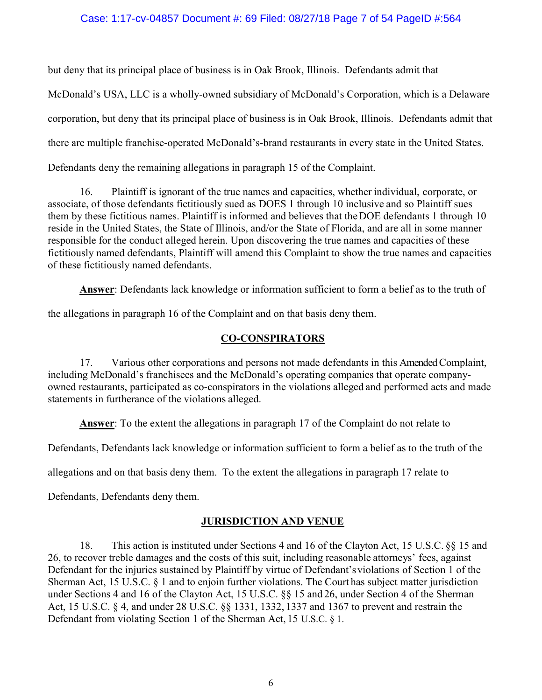#### Case: 1:17-cv-04857 Document #: 69 Filed: 08/27/18 Page 7 of 54 PageID #:564

but deny that its principal place of business is in Oak Brook, Illinois. Defendants admit that

McDonald's USA, LLC is a wholly-owned subsidiary of McDonald's Corporation, which is a Delaware

corporation, but deny that its principal place of business is in Oak Brook, Illinois. Defendants admit that

there are multiple franchise-operated McDonald's-brand restaurants in every state in the United States.

Defendants deny the remaining allegations in paragraph 15 of the Complaint.

16. Plaintiff is ignorant of the true names and capacities, whether individual, corporate, or associate, of those defendants fictitiously sued as DOES 1 through 10 inclusive and so Plaintiff sues them by these fictitious names. Plaintiff is informed and believes that the DOE defendants 1 through 10 reside in the United States, the State of Illinois, and/or the State of Florida, and are all in some manner responsible for the conduct alleged herein. Upon discovering the true names and capacities of these fictitiously named defendants, Plaintiff will amend this Complaint to show the true names and capacities of these fictitiously named defendants.

Answer: Defendants lack knowledge or information sufficient to form a belief as to the truth of

the allegations in paragraph 16 of the Complaint and on that basis deny them.

# CO-CONSPIRATORS

17. Various other corporations and persons not made defendants in this Amended Complaint, including McDonald's franchisees and the McDonald's operating companies that operate companyowned restaurants, participated as co-conspirators in the violations alleged and performed acts and made statements in furtherance of the violations alleged.

Answer: To the extent the allegations in paragraph 17 of the Complaint do not relate to

Defendants, Defendants lack knowledge or information sufficient to form a belief as to the truth of the

allegations and on that basis deny them. To the extent the allegations in paragraph 17 relate to

Defendants, Defendants deny them.

# JURISDICTION AND VENUE

18. This action is instituted under Sections 4 and 16 of the Clayton Act, 15 U.S.C. §§ 15 and 26, to recover treble damages and the costs of this suit, including reasonable attorneys' fees, against Defendant for the injuries sustained by Plaintiff by virtue of Defendant's violations of Section 1 of the Sherman Act, 15 U.S.C. § 1 and to enjoin further violations. The Court has subject matter jurisdiction under Sections 4 and 16 of the Clayton Act, 15 U.S.C. §§ 15 and 26, under Section 4 of the Sherman Act, 15 U.S.C. § 4, and under 28 U.S.C. §§ 1331, 1332, 1337 and 1367 to prevent and restrain the Defendant from violating Section 1 of the Sherman Act, 15 U.S.C. § 1.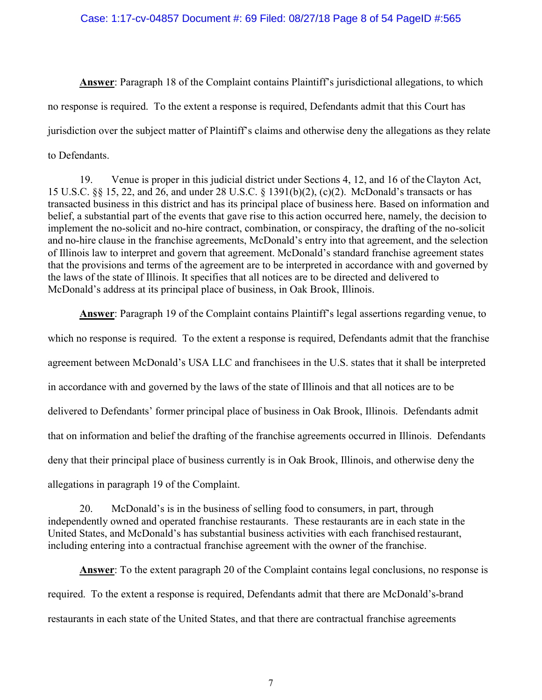Answer: Paragraph 18 of the Complaint contains Plaintiff's jurisdictional allegations, to which no response is required. To the extent a response is required, Defendants admit that this Court has jurisdiction over the subject matter of Plaintiff's claims and otherwise deny the allegations as they relate to Defendants.

19. Venue is proper in this judicial district under Sections 4, 12, and 16 of the Clayton Act, 15 U.S.C. §§ 15, 22, and 26, and under 28 U.S.C. § 1391(b)(2), (c)(2). McDonald's transacts or has transacted business in this district and has its principal place of business here. Based on information and belief, a substantial part of the events that gave rise to this action occurred here, namely, the decision to implement the no-solicit and no-hire contract, combination, or conspiracy, the drafting of the no-solicit and no-hire clause in the franchise agreements, McDonald's entry into that agreement, and the selection of Illinois law to interpret and govern that agreement. McDonald's standard franchise agreement states that the provisions and terms of the agreement are to be interpreted in accordance with and governed by the laws of the state of Illinois. It specifies that all notices are to be directed and delivered to McDonald's address at its principal place of business, in Oak Brook, Illinois.

Answer: Paragraph 19 of the Complaint contains Plaintiff's legal assertions regarding venue, to which no response is required. To the extent a response is required, Defendants admit that the franchise agreement between McDonald's USA LLC and franchisees in the U.S. states that it shall be interpreted in accordance with and governed by the laws of the state of Illinois and that all notices are to be delivered to Defendants' former principal place of business in Oak Brook, Illinois. Defendants admit that on information and belief the drafting of the franchise agreements occurred in Illinois. Defendants deny that their principal place of business currently is in Oak Brook, Illinois, and otherwise deny the allegations in paragraph 19 of the Complaint.

20. McDonald's is in the business of selling food to consumers, in part, through independently owned and operated franchise restaurants. These restaurants are in each state in the United States, and McDonald's has substantial business activities with each franchised restaurant, including entering into a contractual franchise agreement with the owner of the franchise.

Answer: To the extent paragraph 20 of the Complaint contains legal conclusions, no response is required. To the extent a response is required, Defendants admit that there are McDonald's-brand restaurants in each state of the United States, and that there are contractual franchise agreements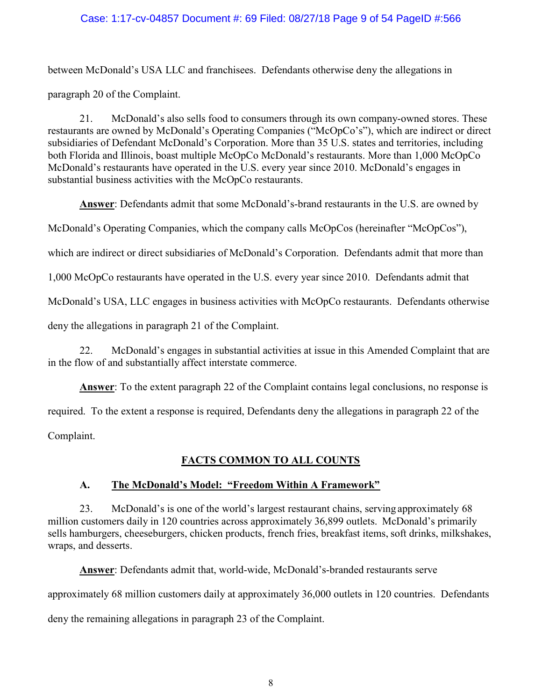### Case: 1:17-cv-04857 Document #: 69 Filed: 08/27/18 Page 9 of 54 PageID #:566

between McDonald's USA LLC and franchisees. Defendants otherwise deny the allegations in paragraph 20 of the Complaint.

21. McDonald's also sells food to consumers through its own company-owned stores. These restaurants are owned by McDonald's Operating Companies ("McOpCo's"), which are indirect or direct subsidiaries of Defendant McDonald's Corporation. More than 35 U.S. states and territories, including both Florida and Illinois, boast multiple McOpCo McDonald's restaurants. More than 1,000 McOpCo McDonald's restaurants have operated in the U.S. every year since 2010. McDonald's engages in substantial business activities with the McOpCo restaurants.

Answer: Defendants admit that some McDonald's-brand restaurants in the U.S. are owned by

McDonald's Operating Companies, which the company calls McOpCos (hereinafter "McOpCos"),

which are indirect or direct subsidiaries of McDonald's Corporation. Defendants admit that more than

1,000 McOpCo restaurants have operated in the U.S. every year since 2010. Defendants admit that

McDonald's USA, LLC engages in business activities with McOpCo restaurants. Defendants otherwise

deny the allegations in paragraph 21 of the Complaint.

22. McDonald's engages in substantial activities at issue in this Amended Complaint that are in the flow of and substantially affect interstate commerce.

Answer: To the extent paragraph 22 of the Complaint contains legal conclusions, no response is

required. To the extent a response is required, Defendants deny the allegations in paragraph 22 of the

Complaint.

### FACTS COMMON TO ALL COUNTS

### A. The McDonald's Model: "Freedom Within A Framework"

23. McDonald's is one of the world's largest restaurant chains, serving approximately 68 million customers daily in 120 countries across approximately 36,899 outlets. McDonald's primarily sells hamburgers, cheeseburgers, chicken products, french fries, breakfast items, soft drinks, milkshakes, wraps, and desserts.

Answer: Defendants admit that, world-wide, McDonald's-branded restaurants serve

approximately 68 million customers daily at approximately 36,000 outlets in 120 countries. Defendants

deny the remaining allegations in paragraph 23 of the Complaint.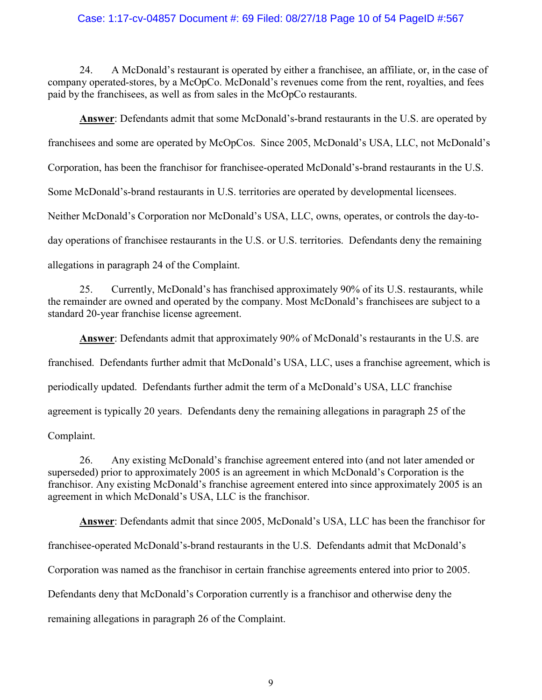#### Case: 1:17-cv-04857 Document #: 69 Filed: 08/27/18 Page 10 of 54 PageID #:567

24. A McDonald's restaurant is operated by either a franchisee, an affiliate, or, in the case of company operated-stores, by a McOpCo. McDonald's revenues come from the rent, royalties, and fees paid by the franchisees, as well as from sales in the McOpCo restaurants.

Answer: Defendants admit that some McDonald's-brand restaurants in the U.S. are operated by

franchisees and some are operated by McOpCos. Since 2005, McDonald's USA, LLC, not McDonald's

Corporation, has been the franchisor for franchisee-operated McDonald's-brand restaurants in the U.S.

Some McDonald's-brand restaurants in U.S. territories are operated by developmental licensees.

Neither McDonald's Corporation nor McDonald's USA, LLC, owns, operates, or controls the day-to-

day operations of franchisee restaurants in the U.S. or U.S. territories. Defendants deny the remaining

allegations in paragraph 24 of the Complaint.

25. Currently, McDonald's has franchised approximately 90% of its U.S. restaurants, while the remainder are owned and operated by the company. Most McDonald's franchisees are subject to a standard 20-year franchise license agreement.

Answer: Defendants admit that approximately 90% of McDonald's restaurants in the U.S. are franchised. Defendants further admit that McDonald's USA, LLC, uses a franchise agreement, which is periodically updated. Defendants further admit the term of a McDonald's USA, LLC franchise agreement is typically 20 years. Defendants deny the remaining allegations in paragraph 25 of the Complaint.

26. Any existing McDonald's franchise agreement entered into (and not later amended or superseded) prior to approximately 2005 is an agreement in which McDonald's Corporation is the franchisor. Any existing McDonald's franchise agreement entered into since approximately 2005 is an agreement in which McDonald's USA, LLC is the franchisor.

Answer: Defendants admit that since 2005, McDonald's USA, LLC has been the franchisor for franchisee-operated McDonald's-brand restaurants in the U.S. Defendants admit that McDonald's Corporation was named as the franchisor in certain franchise agreements entered into prior to 2005. Defendants deny that McDonald's Corporation currently is a franchisor and otherwise deny the remaining allegations in paragraph 26 of the Complaint.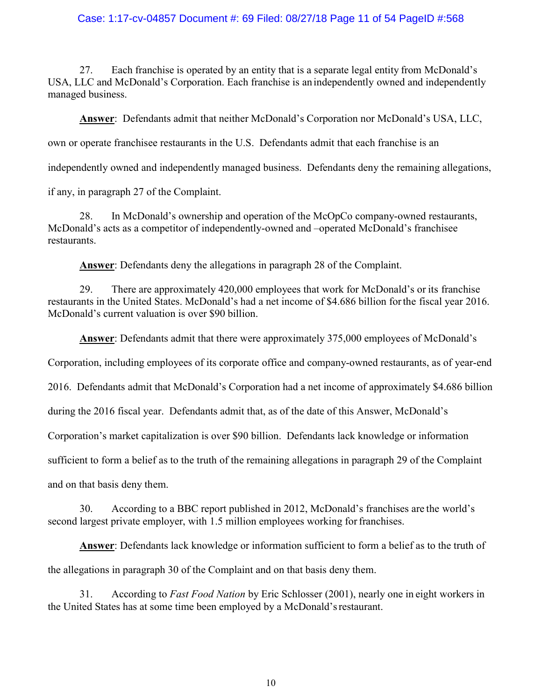#### Case: 1:17-cv-04857 Document #: 69 Filed: 08/27/18 Page 11 of 54 PageID #:568

27. Each franchise is operated by an entity that is a separate legal entity from McDonald's USA, LLC and McDonald's Corporation. Each franchise is an independently owned and independently managed business.

Answer: Defendants admit that neither McDonald's Corporation nor McDonald's USA, LLC,

own or operate franchisee restaurants in the U.S. Defendants admit that each franchise is an

independently owned and independently managed business. Defendants deny the remaining allegations,

if any, in paragraph 27 of the Complaint.

28. In McDonald's ownership and operation of the McOpCo company-owned restaurants, McDonald's acts as a competitor of independently-owned and –operated McDonald's franchisee restaurants.

Answer: Defendants deny the allegations in paragraph 28 of the Complaint.

29. There are approximately 420,000 employees that work for McDonald's or its franchise restaurants in the United States. McDonald's had a net income of \$4.686 billion for the fiscal year 2016. McDonald's current valuation is over \$90 billion.

Answer: Defendants admit that there were approximately 375,000 employees of McDonald's

Corporation, including employees of its corporate office and company-owned restaurants, as of year-end

2016. Defendants admit that McDonald's Corporation had a net income of approximately \$4.686 billion

during the 2016 fiscal year. Defendants admit that, as of the date of this Answer, McDonald's

Corporation's market capitalization is over \$90 billion. Defendants lack knowledge or information

sufficient to form a belief as to the truth of the remaining allegations in paragraph 29 of the Complaint

and on that basis deny them.

30. According to a BBC report published in 2012, McDonald's franchises are the world's second largest private employer, with 1.5 million employees working for franchises.

Answer: Defendants lack knowledge or information sufficient to form a belief as to the truth of

the allegations in paragraph 30 of the Complaint and on that basis deny them.

31. According to Fast Food Nation by Eric Schlosser (2001), nearly one in eight workers in the United States has at some time been employed by a McDonald's restaurant.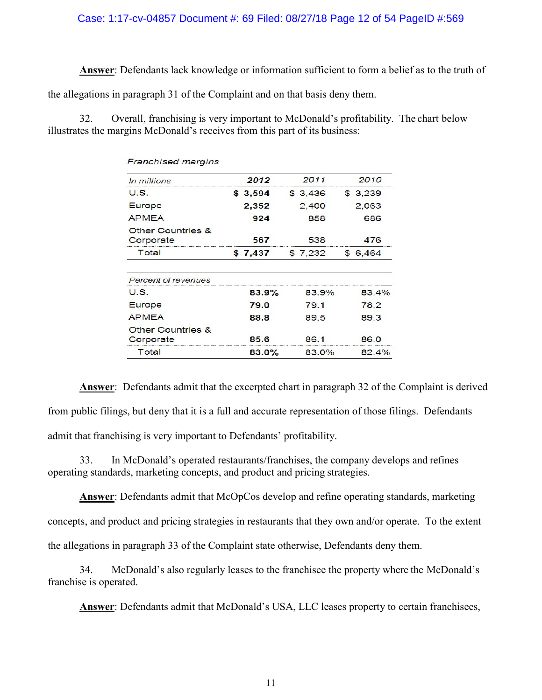#### Case: 1:17-cv-04857 Document #: 69 Filed: 08/27/18 Page 12 of 54 PageID #:569

Answer: Defendants lack knowledge or information sufficient to form a belief as to the truth of

the allegations in paragraph 31 of the Complaint and on that basis deny them.

32. Overall, franchising is very important to McDonald's profitability. The chart below illustrates the margins McDonald's receives from this part of its business:

| <b>Franchised margins</b>                 |          |         |          |
|-------------------------------------------|----------|---------|----------|
| In millions                               | 2012     | 2011    | 2010     |
| U.S.                                      | \$3,594  | \$3,436 | \$3.239  |
| Europe                                    | 2,352    | 2,400   | 2,063    |
| <b>APMEA</b>                              | 924      | 858     | 686      |
| <b>Other Countries &amp;</b><br>Corporate | 567      | 538     | 476      |
| Total                                     | \$7.437  | \$7.232 | \$ 6.464 |
| Percent of revenues                       |          |         |          |
| U.S.                                      | 83.9%    | 83.9%   | 83.4%    |
| Europe                                    | 79.0     | 79.1    | 78.2     |
| <b>APMEA</b>                              | 88.8     | 89.5    | 89.3     |
| <b>Other Countries &amp;</b>              |          |         |          |
| Corporate                                 | 85.6     | 86.1    | 86.0     |
| Total                                     | $83.0\%$ | 83.0%   | 82.4%    |

Answer: Defendants admit that the excerpted chart in paragraph 32 of the Complaint is derived from public filings, but deny that it is a full and accurate representation of those filings. Defendants admit that franchising is very important to Defendants' profitability.

33. In McDonald's operated restaurants/franchises, the company develops and refines operating standards, marketing concepts, and product and pricing strategies.

Answer: Defendants admit that McOpCos develop and refine operating standards, marketing concepts, and product and pricing strategies in restaurants that they own and/or operate. To the extent the allegations in paragraph 33 of the Complaint state otherwise, Defendants deny them.

34. McDonald's also regularly leases to the franchisee the property where the McDonald's franchise is operated.

Answer: Defendants admit that McDonald's USA, LLC leases property to certain franchisees,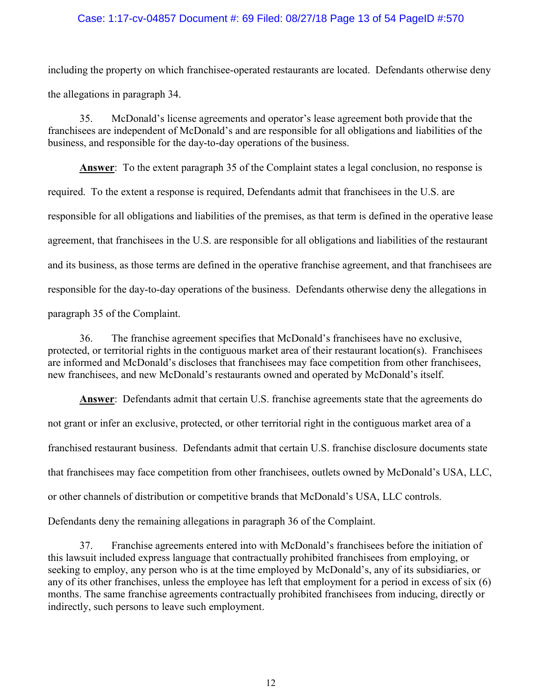#### Case: 1:17-cv-04857 Document #: 69 Filed: 08/27/18 Page 13 of 54 PageID #:570

including the property on which franchisee-operated restaurants are located. Defendants otherwise deny the allegations in paragraph 34.

35. McDonald's license agreements and operator's lease agreement both provide that the franchisees are independent of McDonald's and are responsible for all obligations and liabilities of the business, and responsible for the day-to-day operations of the business.

Answer: To the extent paragraph 35 of the Complaint states a legal conclusion, no response is required. To the extent a response is required, Defendants admit that franchisees in the U.S. are responsible for all obligations and liabilities of the premises, as that term is defined in the operative lease agreement, that franchisees in the U.S. are responsible for all obligations and liabilities of the restaurant and its business, as those terms are defined in the operative franchise agreement, and that franchisees are responsible for the day-to-day operations of the business. Defendants otherwise deny the allegations in paragraph 35 of the Complaint.

36. The franchise agreement specifies that McDonald's franchisees have no exclusive, protected, or territorial rights in the contiguous market area of their restaurant location(s). Franchisees are informed and McDonald's discloses that franchisees may face competition from other franchisees, new franchisees, and new McDonald's restaurants owned and operated by McDonald's itself.

Answer: Defendants admit that certain U.S. franchise agreements state that the agreements do not grant or infer an exclusive, protected, or other territorial right in the contiguous market area of a franchised restaurant business. Defendants admit that certain U.S. franchise disclosure documents state that franchisees may face competition from other franchisees, outlets owned by McDonald's USA, LLC, or other channels of distribution or competitive brands that McDonald's USA, LLC controls. Defendants deny the remaining allegations in paragraph 36 of the Complaint.

37. Franchise agreements entered into with McDonald's franchisees before the initiation of this lawsuit included express language that contractually prohibited franchisees from employing, or seeking to employ, any person who is at the time employed by McDonald's, any of its subsidiaries, or any of its other franchises, unless the employee has left that employment for a period in excess of six (6) months. The same franchise agreements contractually prohibited franchisees from inducing, directly or indirectly, such persons to leave such employment.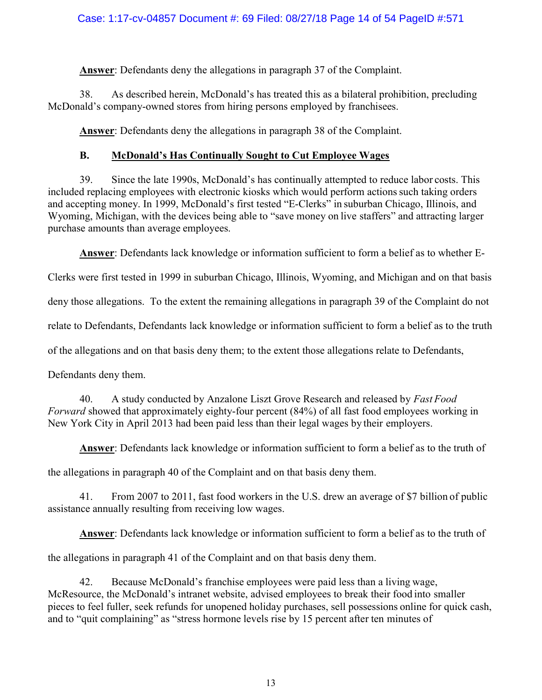Answer: Defendants deny the allegations in paragraph 37 of the Complaint.

38. As described herein, McDonald's has treated this as a bilateral prohibition, precluding McDonald's company-owned stores from hiring persons employed by franchisees.

Answer: Defendants deny the allegations in paragraph 38 of the Complaint.

# B. McDonald's Has Continually Sought to Cut Employee Wages

39. Since the late 1990s, McDonald's has continually attempted to reduce labor costs. This included replacing employees with electronic kiosks which would perform actions such taking orders and accepting money. In 1999, McDonald's first tested "E-Clerks" in suburban Chicago, Illinois, and Wyoming, Michigan, with the devices being able to "save money on live staffers" and attracting larger purchase amounts than average employees.

Answer: Defendants lack knowledge or information sufficient to form a belief as to whether E-

Clerks were first tested in 1999 in suburban Chicago, Illinois, Wyoming, and Michigan and on that basis

deny those allegations. To the extent the remaining allegations in paragraph 39 of the Complaint do not

relate to Defendants, Defendants lack knowledge or information sufficient to form a belief as to the truth

of the allegations and on that basis deny them; to the extent those allegations relate to Defendants,

Defendants deny them.

40. A study conducted by Anzalone Liszt Grove Research and released by Fast Food Forward showed that approximately eighty-four percent (84%) of all fast food employees working in New York City in April 2013 had been paid less than their legal wages by their employers.

Answer: Defendants lack knowledge or information sufficient to form a belief as to the truth of

the allegations in paragraph 40 of the Complaint and on that basis deny them.

41. From 2007 to 2011, fast food workers in the U.S. drew an average of \$7 billion of public assistance annually resulting from receiving low wages.

Answer: Defendants lack knowledge or information sufficient to form a belief as to the truth of

the allegations in paragraph 41 of the Complaint and on that basis deny them.

42. Because McDonald's franchise employees were paid less than a living wage, McResource, the McDonald's intranet website, advised employees to break their food into smaller pieces to feel fuller, seek refunds for unopened holiday purchases, sell possessions online for quick cash, and to "quit complaining" as "stress hormone levels rise by 15 percent after ten minutes of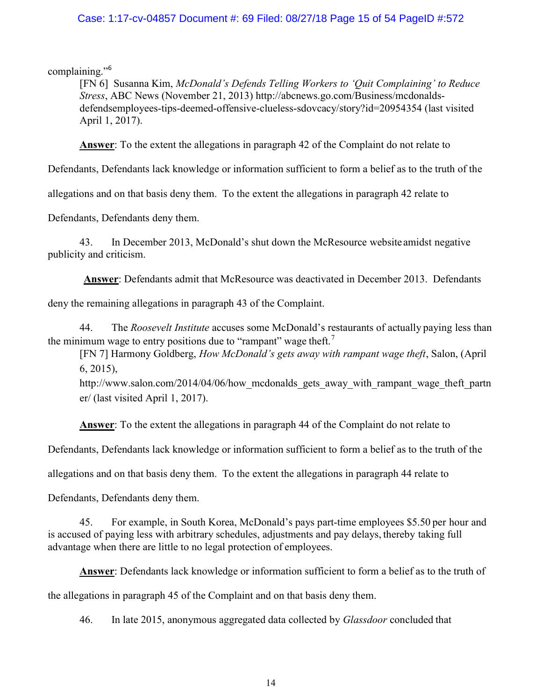### Case: 1:17-cv-04857 Document #: 69 Filed: 08/27/18 Page 15 of 54 PageID #:572

complaining."<sup>6</sup>

[FN 6] Susanna Kim, McDonald's Defends Telling Workers to 'Quit Complaining' to Reduce Stress, ABC News (November 21, 2013) http://abcnews.go.com/Business/mcdonaldsdefendsemployees-tips-deemed-offensive-clueless-sdovcacy/story?id=20954354 (last visited April 1, 2017).

**Answer:** To the extent the allegations in paragraph 42 of the Complaint do not relate to

Defendants, Defendants lack knowledge or information sufficient to form a belief as to the truth of the

allegations and on that basis deny them. To the extent the allegations in paragraph 42 relate to

Defendants, Defendants deny them.

43. In December 2013, McDonald's shut down the McResource website amidst negative publicity and criticism.

Answer: Defendants admit that McResource was deactivated in December 2013. Defendants

deny the remaining allegations in paragraph 43 of the Complaint.

44. The *Roosevelt Institute* accuses some McDonald's restaurants of actually paying less than the minimum wage to entry positions due to "rampant" wage theft.<sup>7</sup>

[FN 7] Harmony Goldberg, How McDonald's gets away with rampant wage theft, Salon, (April 6, 2015),

http://www.salon.com/2014/04/06/how\_mcdonalds\_gets\_away\_with\_rampant\_wage\_theft\_partn er/ (last visited April 1, 2017).

Answer: To the extent the allegations in paragraph 44 of the Complaint do not relate to

Defendants, Defendants lack knowledge or information sufficient to form a belief as to the truth of the

allegations and on that basis deny them. To the extent the allegations in paragraph 44 relate to

Defendants, Defendants deny them.

45. For example, in South Korea, McDonald's pays part-time employees \$5.50 per hour and is accused of paying less with arbitrary schedules, adjustments and pay delays, thereby taking full advantage when there are little to no legal protection of employees.

Answer: Defendants lack knowledge or information sufficient to form a belief as to the truth of

the allegations in paragraph 45 of the Complaint and on that basis deny them.

46. In late 2015, anonymous aggregated data collected by *Glassdoor* concluded that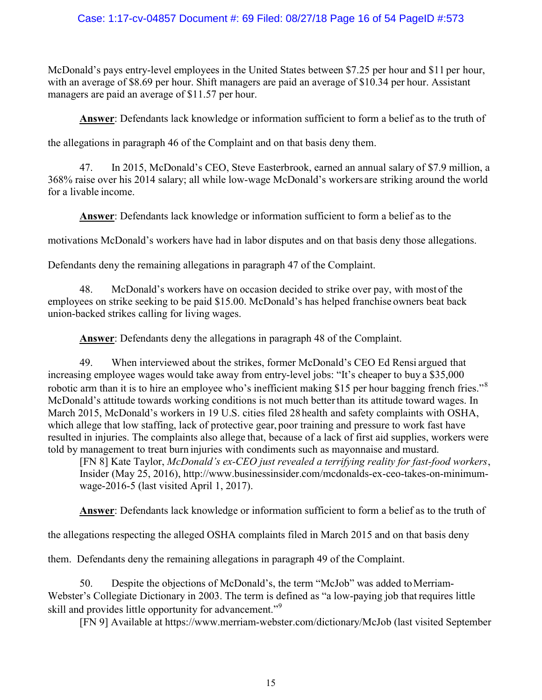### Case: 1:17-cv-04857 Document #: 69 Filed: 08/27/18 Page 16 of 54 PageID #:573

McDonald's pays entry-level employees in the United States between \$7.25 per hour and \$11 per hour, with an average of \$8.69 per hour. Shift managers are paid an average of \$10.34 per hour. Assistant managers are paid an average of \$11.57 per hour.

Answer: Defendants lack knowledge or information sufficient to form a belief as to the truth of

the allegations in paragraph 46 of the Complaint and on that basis deny them.

47. In 2015, McDonald's CEO, Steve Easterbrook, earned an annual salary of \$7.9 million, a 368% raise over his 2014 salary; all while low-wage McDonald's workers are striking around the world for a livable income.

Answer: Defendants lack knowledge or information sufficient to form a belief as to the

motivations McDonald's workers have had in labor disputes and on that basis deny those allegations.

Defendants deny the remaining allegations in paragraph 47 of the Complaint.

48. McDonald's workers have on occasion decided to strike over pay, with most of the employees on strike seeking to be paid \$15.00. McDonald's has helped franchise owners beat back union-backed strikes calling for living wages.

Answer: Defendants deny the allegations in paragraph 48 of the Complaint.

49. When interviewed about the strikes, former McDonald's CEO Ed Rensi argued that increasing employee wages would take away from entry-level jobs: "It's cheaper to buy a \$35,000 robotic arm than it is to hire an employee who's inefficient making \$15 per hour bagging french fries."<sup>8</sup> McDonald's attitude towards working conditions is not much better than its attitude toward wages. In March 2015, McDonald's workers in 19 U.S. cities filed 28 health and safety complaints with OSHA, which allege that low staffing, lack of protective gear, poor training and pressure to work fast have resulted in injuries. The complaints also allege that, because of a lack of first aid supplies, workers were told by management to treat burn injuries with condiments such as mayonnaise and mustard.

[FN 8] Kate Taylor, McDonald's ex-CEO just revealed a terrifying reality for fast-food workers, Insider (May 25, 2016), http://www.businessinsider.com/mcdonalds-ex-ceo-takes-on-minimumwage-2016-5 (last visited April 1, 2017).

Answer: Defendants lack knowledge or information sufficient to form a belief as to the truth of

the allegations respecting the alleged OSHA complaints filed in March 2015 and on that basis deny

them. Defendants deny the remaining allegations in paragraph 49 of the Complaint.

50. Despite the objections of McDonald's, the term "McJob" was added to Merriam-Webster's Collegiate Dictionary in 2003. The term is defined as "a low-paying job that requires little skill and provides little opportunity for advancement."<sup>9</sup>

[FN 9] Available at https://www.merriam-webster.com/dictionary/McJob (last visited September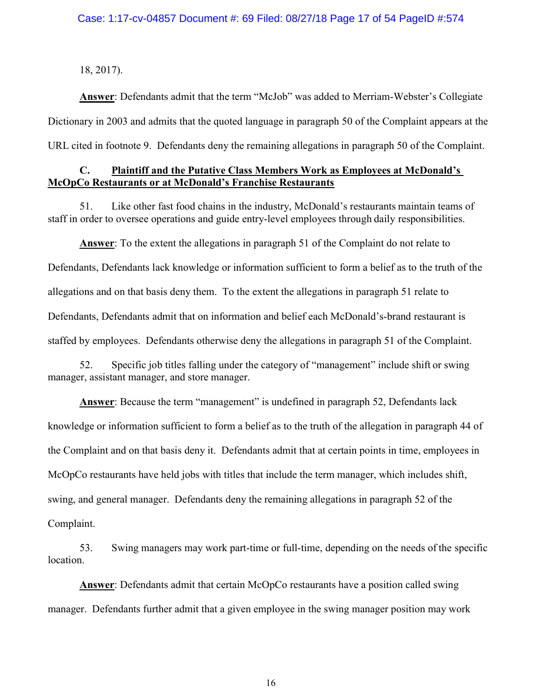18, 2017).

Answer: Defendants admit that the term "McJob" was added to Merriam-Webster's Collegiate Dictionary in 2003 and admits that the quoted language in paragraph 50 of the Complaint appears at the URL cited in footnote 9. Defendants deny the remaining allegations in paragraph 50 of the Complaint.

### C. Plaintiff and the Putative Class Members Work as Employees at McDonald's McOpCo Restaurants or at McDonald's Franchise Restaurants

51. Like other fast food chains in the industry, McDonald's restaurants maintain teams of staff in order to oversee operations and guide entry-level employees through daily responsibilities.

Answer: To the extent the allegations in paragraph 51 of the Complaint do not relate to Defendants, Defendants lack knowledge or information sufficient to form a belief as to the truth of the allegations and on that basis deny them. To the extent the allegations in paragraph 51 relate to Defendants, Defendants admit that on information and belief each McDonald's-brand restaurant is staffed by employees. Defendants otherwise deny the allegations in paragraph 51 of the Complaint.

52. Specific job titles falling under the category of "management" include shift or swing manager, assistant manager, and store manager.

Answer: Because the term "management" is undefined in paragraph 52, Defendants lack knowledge or information sufficient to form a belief as to the truth of the allegation in paragraph 44 of the Complaint and on that basis deny it. Defendants admit that at certain points in time, employees in McOpCo restaurants have held jobs with titles that include the term manager, which includes shift, swing, and general manager. Defendants deny the remaining allegations in paragraph 52 of the Complaint.

53. Swing managers may work part-time or full-time, depending on the needs of the specific location.

Answer: Defendants admit that certain McOpCo restaurants have a position called swing manager. Defendants further admit that a given employee in the swing manager position may work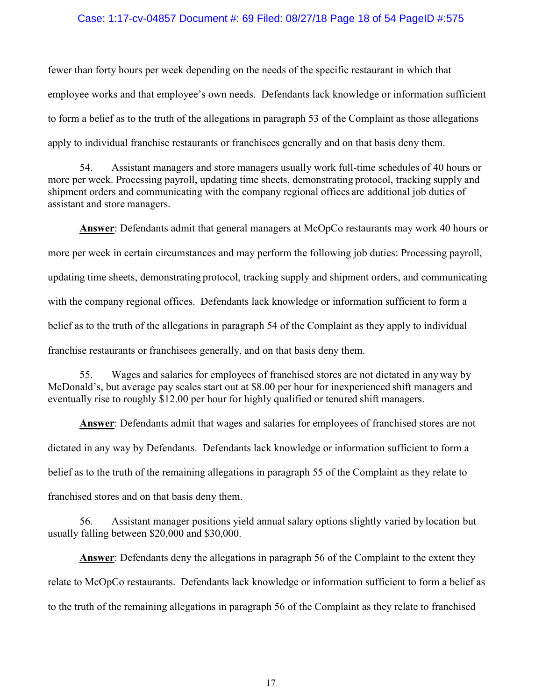#### Case: 1:17-cv-04857 Document #: 69 Filed: 08/27/18 Page 18 of 54 PageID #:575

fewer than forty hours per week depending on the needs of the specific restaurant in which that employee works and that employee's own needs. Defendants lack knowledge or information sufficient to form a belief as to the truth of the allegations in paragraph 53 of the Complaint as those allegations apply to individual franchise restaurants or franchisees generally and on that basis deny them.

54. Assistant managers and store managers usually work full-time schedules of 40 hours or more per week. Processing payroll, updating time sheets, demonstrating protocol, tracking supply and shipment orders and communicating with the company regional offices are additional job duties of assistant and store managers.

Answer: Defendants admit that general managers at McOpCo restaurants may work 40 hours or more per week in certain circumstances and may perform the following job duties: Processing payroll, updating time sheets, demonstrating protocol, tracking supply and shipment orders, and communicating with the company regional offices. Defendants lack knowledge or information sufficient to form a belief as to the truth of the allegations in paragraph 54 of the Complaint as they apply to individual franchise restaurants or franchisees generally, and on that basis deny them.

55. Wages and salaries for employees of franchised stores are not dictated in any way by McDonald's, but average pay scales start out at \$8.00 per hour for inexperienced shift managers and eventually rise to roughly \$12.00 per hour for highly qualified or tenured shift managers.

Answer: Defendants admit that wages and salaries for employees of franchised stores are not dictated in any way by Defendants. Defendants lack knowledge or information sufficient to form a belief as to the truth of the remaining allegations in paragraph 55 of the Complaint as they relate to franchised stores and on that basis deny them.

56. Assistant manager positions yield annual salary options slightly varied by location but usually falling between \$20,000 and \$30,000.

Answer: Defendants deny the allegations in paragraph 56 of the Complaint to the extent they relate to McOpCo restaurants. Defendants lack knowledge or information sufficient to form a belief as to the truth of the remaining allegations in paragraph 56 of the Complaint as they relate to franchised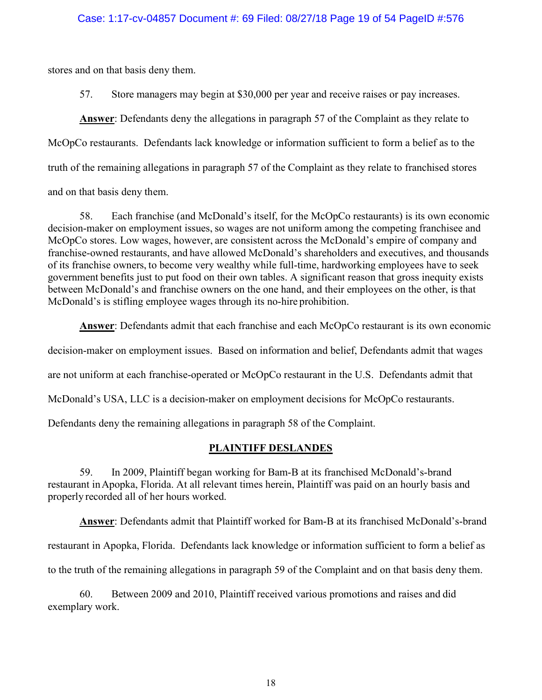stores and on that basis deny them.

57. Store managers may begin at \$30,000 per year and receive raises or pay increases.

Answer: Defendants deny the allegations in paragraph 57 of the Complaint as they relate to McOpCo restaurants. Defendants lack knowledge or information sufficient to form a belief as to the truth of the remaining allegations in paragraph 57 of the Complaint as they relate to franchised stores and on that basis deny them.

58. Each franchise (and McDonald's itself, for the McOpCo restaurants) is its own economic decision-maker on employment issues, so wages are not uniform among the competing franchisee and McOpCo stores. Low wages, however, are consistent across the McDonald's empire of company and franchise-owned restaurants, and have allowed McDonald's shareholders and executives, and thousands of its franchise owners, to become very wealthy while full-time, hardworking employees have to seek government benefits just to put food on their own tables. A significant reason that gross inequity exists between McDonald's and franchise owners on the one hand, and their employees on the other, is that McDonald's is stifling employee wages through its no-hire prohibition.

Answer: Defendants admit that each franchise and each McOpCo restaurant is its own economic decision-maker on employment issues. Based on information and belief, Defendants admit that wages are not uniform at each franchise-operated or McOpCo restaurant in the U.S. Defendants admit that McDonald's USA, LLC is a decision-maker on employment decisions for McOpCo restaurants.

Defendants deny the remaining allegations in paragraph 58 of the Complaint.

# PLAINTIFF DESLANDES

59. In 2009, Plaintiff began working for Bam-B at its franchised McDonald's-brand restaurant in Apopka, Florida. At all relevant times herein, Plaintiff was paid on an hourly basis and properly recorded all of her hours worked.

Answer: Defendants admit that Plaintiff worked for Bam-B at its franchised McDonald's-brand restaurant in Apopka, Florida. Defendants lack knowledge or information sufficient to form a belief as

to the truth of the remaining allegations in paragraph 59 of the Complaint and on that basis deny them.

60. Between 2009 and 2010, Plaintiff received various promotions and raises and did exemplary work.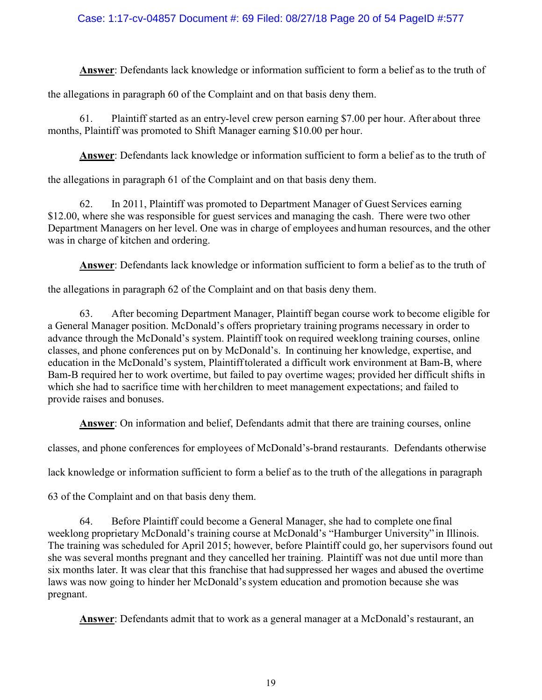### Case: 1:17-cv-04857 Document #: 69 Filed: 08/27/18 Page 20 of 54 PageID #:577

Answer: Defendants lack knowledge or information sufficient to form a belief as to the truth of

the allegations in paragraph 60 of the Complaint and on that basis deny them.

61. Plaintiff started as an entry-level crew person earning \$7.00 per hour. After about three months, Plaintiff was promoted to Shift Manager earning \$10.00 per hour.

Answer: Defendants lack knowledge or information sufficient to form a belief as to the truth of

the allegations in paragraph 61 of the Complaint and on that basis deny them.

62. In 2011, Plaintiff was promoted to Department Manager of Guest Services earning \$12.00, where she was responsible for guest services and managing the cash. There were two other Department Managers on her level. One was in charge of employees and human resources, and the other was in charge of kitchen and ordering.

Answer: Defendants lack knowledge or information sufficient to form a belief as to the truth of

the allegations in paragraph 62 of the Complaint and on that basis deny them.

63. After becoming Department Manager, Plaintiff began course work to become eligible for a General Manager position. McDonald's offers proprietary training programs necessary in order to advance through the McDonald's system. Plaintiff took on required weeklong training courses, online classes, and phone conferences put on by McDonald's. In continuing her knowledge, expertise, and education in the McDonald's system, Plaintiff tolerated a difficult work environment at Bam-B, where Bam-B required her to work overtime, but failed to pay overtime wages; provided her difficult shifts in which she had to sacrifice time with her children to meet management expectations; and failed to provide raises and bonuses.

Answer: On information and belief, Defendants admit that there are training courses, online

classes, and phone conferences for employees of McDonald's-brand restaurants. Defendants otherwise

lack knowledge or information sufficient to form a belief as to the truth of the allegations in paragraph

63 of the Complaint and on that basis deny them.

64. Before Plaintiff could become a General Manager, she had to complete one final weeklong proprietary McDonald's training course at McDonald's "Hamburger University" in Illinois. The training was scheduled for April 2015; however, before Plaintiff could go, her supervisors found out she was several months pregnant and they cancelled her training. Plaintiff was not due until more than six months later. It was clear that this franchise that had suppressed her wages and abused the overtime laws was now going to hinder her McDonald's system education and promotion because she was pregnant.

Answer: Defendants admit that to work as a general manager at a McDonald's restaurant, an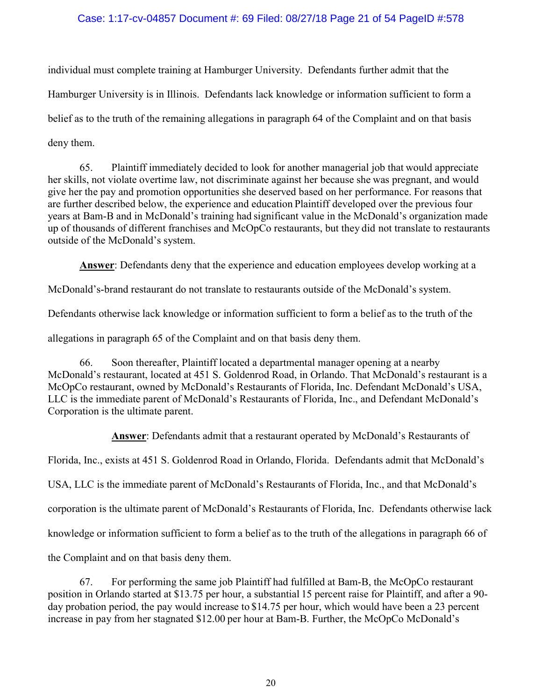### Case: 1:17-cv-04857 Document #: 69 Filed: 08/27/18 Page 21 of 54 PageID #:578

individual must complete training at Hamburger University. Defendants further admit that the Hamburger University is in Illinois. Defendants lack knowledge or information sufficient to form a belief as to the truth of the remaining allegations in paragraph 64 of the Complaint and on that basis deny them.

65. Plaintiff immediately decided to look for another managerial job that would appreciate her skills, not violate overtime law, not discriminate against her because she was pregnant, and would give her the pay and promotion opportunities she deserved based on her performance. For reasons that are further described below, the experience and education Plaintiff developed over the previous four years at Bam-B and in McDonald's training had significant value in the McDonald's organization made up of thousands of different franchises and McOpCo restaurants, but they did not translate to restaurants outside of the McDonald's system.

Answer: Defendants deny that the experience and education employees develop working at a

McDonald's-brand restaurant do not translate to restaurants outside of the McDonald's system.

Defendants otherwise lack knowledge or information sufficient to form a belief as to the truth of the

allegations in paragraph 65 of the Complaint and on that basis deny them.

66. Soon thereafter, Plaintiff located a departmental manager opening at a nearby McDonald's restaurant, located at 451 S. Goldenrod Road, in Orlando. That McDonald's restaurant is a McOpCo restaurant, owned by McDonald's Restaurants of Florida, Inc. Defendant McDonald's USA, LLC is the immediate parent of McDonald's Restaurants of Florida, Inc., and Defendant McDonald's Corporation is the ultimate parent.

Answer: Defendants admit that a restaurant operated by McDonald's Restaurants of

Florida, Inc., exists at 451 S. Goldenrod Road in Orlando, Florida. Defendants admit that McDonald's

USA, LLC is the immediate parent of McDonald's Restaurants of Florida, Inc., and that McDonald's

corporation is the ultimate parent of McDonald's Restaurants of Florida, Inc. Defendants otherwise lack

knowledge or information sufficient to form a belief as to the truth of the allegations in paragraph 66 of

the Complaint and on that basis deny them.

67. For performing the same job Plaintiff had fulfilled at Bam-B, the McOpCo restaurant position in Orlando started at \$13.75 per hour, a substantial 15 percent raise for Plaintiff, and after a 90 day probation period, the pay would increase to \$14.75 per hour, which would have been a 23 percent increase in pay from her stagnated \$12.00 per hour at Bam-B. Further, the McOpCo McDonald's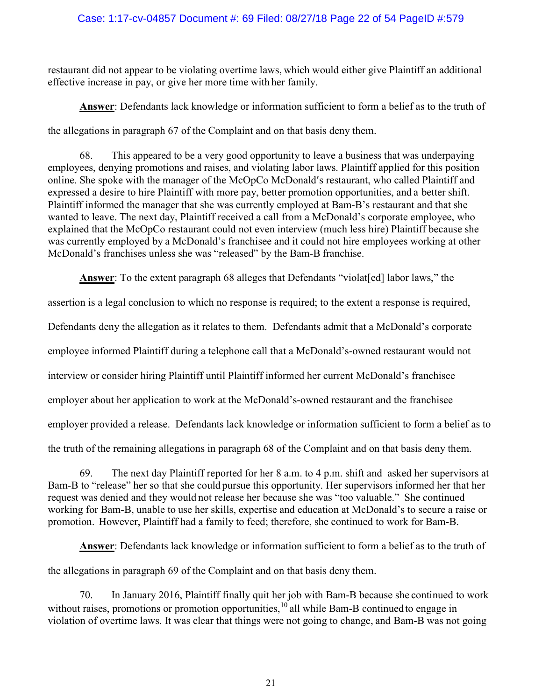### Case: 1:17-cv-04857 Document #: 69 Filed: 08/27/18 Page 22 of 54 PageID #:579

restaurant did not appear to be violating overtime laws, which would either give Plaintiff an additional effective increase in pay, or give her more time with her family.

Answer: Defendants lack knowledge or information sufficient to form a belief as to the truth of

the allegations in paragraph 67 of the Complaint and on that basis deny them.

68. This appeared to be a very good opportunity to leave a business that was underpaying employees, denying promotions and raises, and violating labor laws. Plaintiff applied for this position online. She spoke with the manager of the McOpCo McDonald's restaurant, who called Plaintiff and expressed a desire to hire Plaintiff with more pay, better promotion opportunities, and a better shift. Plaintiff informed the manager that she was currently employed at Bam-B's restaurant and that she wanted to leave. The next day, Plaintiff received a call from a McDonald's corporate employee, who explained that the McOpCo restaurant could not even interview (much less hire) Plaintiff because she was currently employed by a McDonald's franchisee and it could not hire employees working at other McDonald's franchises unless she was "released" by the Bam-B franchise.

Answer: To the extent paragraph 68 alleges that Defendants "violat [ed] labor laws," the

assertion is a legal conclusion to which no response is required; to the extent a response is required,

Defendants deny the allegation as it relates to them. Defendants admit that a McDonald's corporate

employee informed Plaintiff during a telephone call that a McDonald's-owned restaurant would not

interview or consider hiring Plaintiff until Plaintiff informed her current McDonald's franchisee

employer about her application to work at the McDonald's-owned restaurant and the franchisee

employer provided a release. Defendants lack knowledge or information sufficient to form a belief as to

the truth of the remaining allegations in paragraph 68 of the Complaint and on that basis deny them.

69. The next day Plaintiff reported for her 8 a.m. to 4 p.m. shift and asked her supervisors at Bam-B to "release" her so that she could pursue this opportunity. Her supervisors informed her that her request was denied and they would not release her because she was "too valuable." She continued working for Bam-B, unable to use her skills, expertise and education at McDonald's to secure a raise or promotion. However, Plaintiff had a family to feed; therefore, she continued to work for Bam-B.

Answer: Defendants lack knowledge or information sufficient to form a belief as to the truth of

the allegations in paragraph 69 of the Complaint and on that basis deny them.

70. In January 2016, Plaintiff finally quit her job with Bam-B because she continued to work without raises, promotions or promotion opportunities,  $10$  all while Bam-B continued to engage in violation of overtime laws. It was clear that things were not going to change, and Bam-B was not going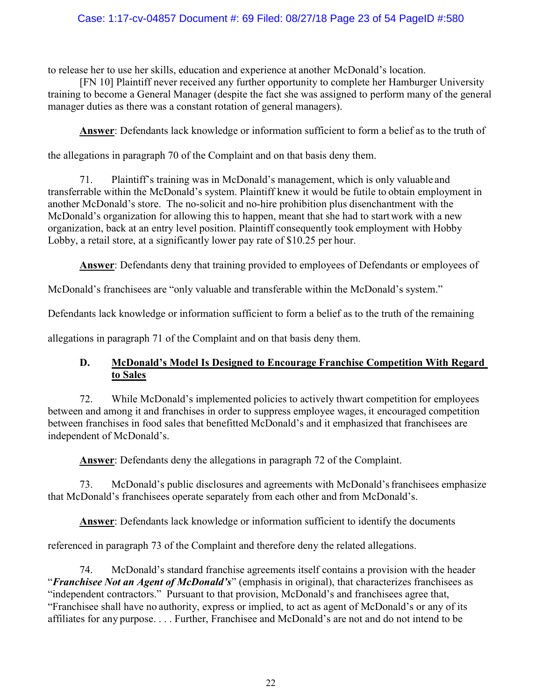### Case: 1:17-cv-04857 Document #: 69 Filed: 08/27/18 Page 23 of 54 PageID #:580

to release her to use her skills, education and experience at another McDonald's location.

[FN 10] Plaintiff never received any further opportunity to complete her Hamburger University training to become a General Manager (despite the fact she was assigned to perform many of the general manager duties as there was a constant rotation of general managers).

Answer: Defendants lack knowledge or information sufficient to form a belief as to the truth of

the allegations in paragraph 70 of the Complaint and on that basis deny them.

71. Plaintiff's training was in McDonald's management, which is only valuable and transferrable within the McDonald's system. Plaintiff knew it would be futile to obtain employment in another McDonald's store. The no-solicit and no-hire prohibition plus disenchantment with the McDonald's organization for allowing this to happen, meant that she had to start work with a new organization, back at an entry level position. Plaintiff consequently took employment with Hobby Lobby, a retail store, at a significantly lower pay rate of \$10.25 per hour.

Answer: Defendants deny that training provided to employees of Defendants or employees of

McDonald's franchisees are "only valuable and transferable within the McDonald's system."

Defendants lack knowledge or information sufficient to form a belief as to the truth of the remaining

allegations in paragraph 71 of the Complaint and on that basis deny them.

### D. McDonald's Model Is Designed to Encourage Franchise Competition With Regard to Sales

72. While McDonald's implemented policies to actively thwart competition for employees between and among it and franchises in order to suppress employee wages, it encouraged competition between franchises in food sales that benefitted McDonald's and it emphasized that franchisees are independent of McDonald's.

Answer: Defendants deny the allegations in paragraph 72 of the Complaint.

73. McDonald's public disclosures and agreements with McDonald's franchisees emphasize that McDonald's franchisees operate separately from each other and from McDonald's.

Answer: Defendants lack knowledge or information sufficient to identify the documents

referenced in paragraph 73 of the Complaint and therefore deny the related allegations.

74. McDonald's standard franchise agreements itself contains a provision with the header "Franchisee Not an Agent of McDonald's" (emphasis in original), that characterizes franchisees as "independent contractors." Pursuant to that provision, McDonald's and franchisees agree that, "Franchisee shall have no authority, express or implied, to act as agent of McDonald's or any of its affiliates for any purpose. . . . Further, Franchisee and McDonald's are not and do not intend to be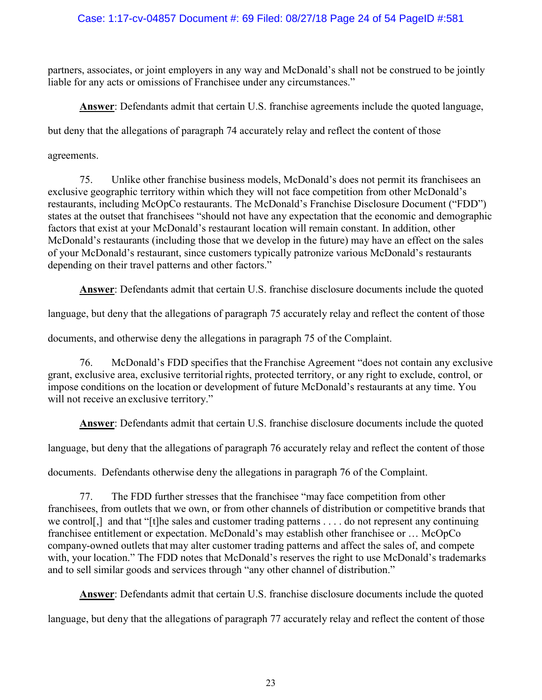# Case: 1:17-cv-04857 Document #: 69 Filed: 08/27/18 Page 24 of 54 PageID #:581

partners, associates, or joint employers in any way and McDonald's shall not be construed to be jointly liable for any acts or omissions of Franchisee under any circumstances."

Answer: Defendants admit that certain U.S. franchise agreements include the quoted language,

but deny that the allegations of paragraph 74 accurately relay and reflect the content of those

agreements.

75. Unlike other franchise business models, McDonald's does not permit its franchisees an exclusive geographic territory within which they will not face competition from other McDonald's restaurants, including McOpCo restaurants. The McDonald's Franchise Disclosure Document ("FDD") states at the outset that franchisees "should not have any expectation that the economic and demographic factors that exist at your McDonald's restaurant location will remain constant. In addition, other McDonald's restaurants (including those that we develop in the future) may have an effect on the sales of your McDonald's restaurant, since customers typically patronize various McDonald's restaurants depending on their travel patterns and other factors."

Answer: Defendants admit that certain U.S. franchise disclosure documents include the quoted

language, but deny that the allegations of paragraph 75 accurately relay and reflect the content of those

documents, and otherwise deny the allegations in paragraph 75 of the Complaint.

76. McDonald's FDD specifies that the Franchise Agreement "does not contain any exclusive grant, exclusive area, exclusive territorial rights, protected territory, or any right to exclude, control, or impose conditions on the location or development of future McDonald's restaurants at any time. You will not receive an exclusive territory."

Answer: Defendants admit that certain U.S. franchise disclosure documents include the quoted

language, but deny that the allegations of paragraph 76 accurately relay and reflect the content of those

documents. Defendants otherwise deny the allegations in paragraph 76 of the Complaint.

77. The FDD further stresses that the franchisee "may face competition from other franchisees, from outlets that we own, or from other channels of distribution or competitive brands that we control[,] and that "[t]he sales and customer trading patterns . . . . do not represent any continuing franchisee entitlement or expectation. McDonald's may establish other franchisee or … McOpCo company-owned outlets that may alter customer trading patterns and affect the sales of, and compete with, your location." The FDD notes that McDonald's reserves the right to use McDonald's trademarks and to sell similar goods and services through "any other channel of distribution."

Answer: Defendants admit that certain U.S. franchise disclosure documents include the quoted

language, but deny that the allegations of paragraph 77 accurately relay and reflect the content of those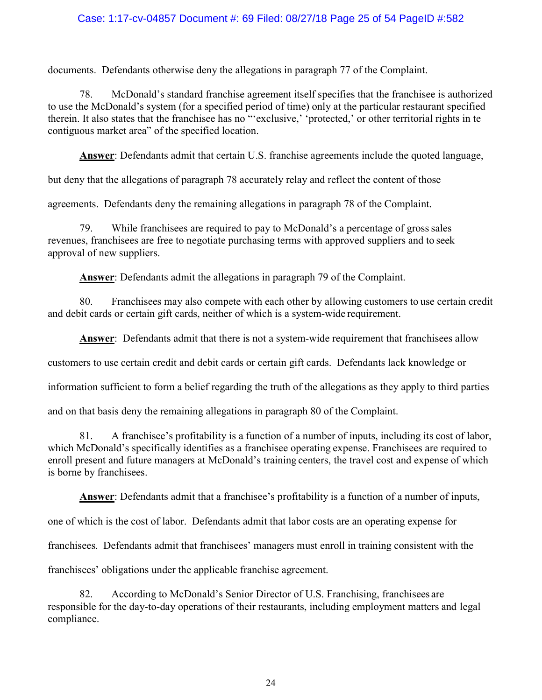### Case: 1:17-cv-04857 Document #: 69 Filed: 08/27/18 Page 25 of 54 PageID #:582

documents. Defendants otherwise deny the allegations in paragraph 77 of the Complaint.

78. McDonald's standard franchise agreement itself specifies that the franchisee is authorized to use the McDonald's system (for a specified period of time) only at the particular restaurant specified therein. It also states that the franchisee has no "'exclusive,' 'protected,' or other territorial rights in te contiguous market area" of the specified location.

Answer: Defendants admit that certain U.S. franchise agreements include the quoted language,

but deny that the allegations of paragraph 78 accurately relay and reflect the content of those

agreements. Defendants deny the remaining allegations in paragraph 78 of the Complaint.

79. While franchisees are required to pay to McDonald's a percentage of gross sales revenues, franchisees are free to negotiate purchasing terms with approved suppliers and to seek approval of new suppliers.

Answer: Defendants admit the allegations in paragraph 79 of the Complaint.

80. Franchisees may also compete with each other by allowing customers to use certain credit and debit cards or certain gift cards, neither of which is a system-wide requirement.

Answer: Defendants admit that there is not a system-wide requirement that franchisees allow

customers to use certain credit and debit cards or certain gift cards. Defendants lack knowledge or

information sufficient to form a belief regarding the truth of the allegations as they apply to third parties

and on that basis deny the remaining allegations in paragraph 80 of the Complaint.

81. A franchisee's profitability is a function of a number of inputs, including its cost of labor, which McDonald's specifically identifies as a franchisee operating expense. Franchisees are required to enroll present and future managers at McDonald's training centers, the travel cost and expense of which is borne by franchisees.

Answer: Defendants admit that a franchisee's profitability is a function of a number of inputs,

one of which is the cost of labor. Defendants admit that labor costs are an operating expense for

franchisees. Defendants admit that franchisees' managers must enroll in training consistent with the

franchisees' obligations under the applicable franchise agreement.

82. According to McDonald's Senior Director of U.S. Franchising, franchisees are responsible for the day-to-day operations of their restaurants, including employment matters and legal compliance.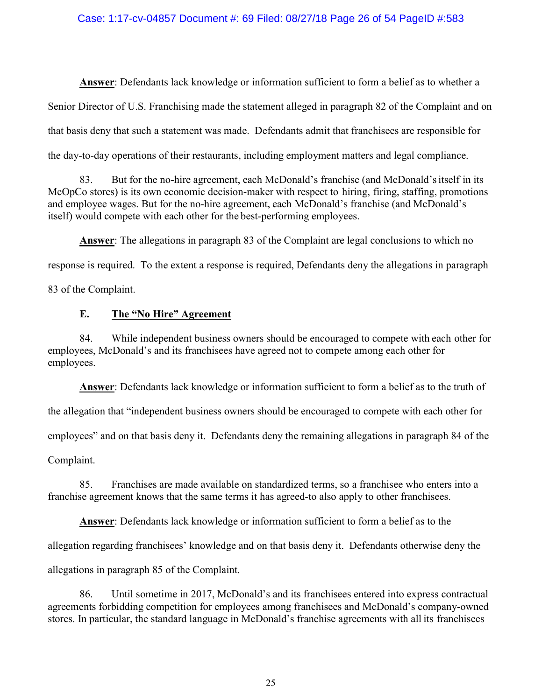### Case: 1:17-cv-04857 Document #: 69 Filed: 08/27/18 Page 26 of 54 PageID #:583

Answer: Defendants lack knowledge or information sufficient to form a belief as to whether a Senior Director of U.S. Franchising made the statement alleged in paragraph 82 of the Complaint and on that basis deny that such a statement was made. Defendants admit that franchisees are responsible for the day-to-day operations of their restaurants, including employment matters and legal compliance.

83. But for the no-hire agreement, each McDonald's franchise (and McDonald's itself in its McOpCo stores) is its own economic decision-maker with respect to hiring, firing, staffing, promotions and employee wages. But for the no-hire agreement, each McDonald's franchise (and McDonald's itself) would compete with each other for the best-performing employees.

Answer: The allegations in paragraph 83 of the Complaint are legal conclusions to which no response is required. To the extent a response is required, Defendants deny the allegations in paragraph 83 of the Complaint.

### E. The "No Hire" Agreement

84. While independent business owners should be encouraged to compete with each other for employees, McDonald's and its franchisees have agreed not to compete among each other for employees.

Answer: Defendants lack knowledge or information sufficient to form a belief as to the truth of

the allegation that "independent business owners should be encouraged to compete with each other for

employees" and on that basis deny it. Defendants deny the remaining allegations in paragraph 84 of the

Complaint.

85. Franchises are made available on standardized terms, so a franchisee who enters into a franchise agreement knows that the same terms it has agreed-to also apply to other franchisees.

Answer: Defendants lack knowledge or information sufficient to form a belief as to the allegation regarding franchisees' knowledge and on that basis deny it. Defendants otherwise deny the allegations in paragraph 85 of the Complaint.

86. Until sometime in 2017, McDonald's and its franchisees entered into express contractual agreements forbidding competition for employees among franchisees and McDonald's company-owned stores. In particular, the standard language in McDonald's franchise agreements with all its franchisees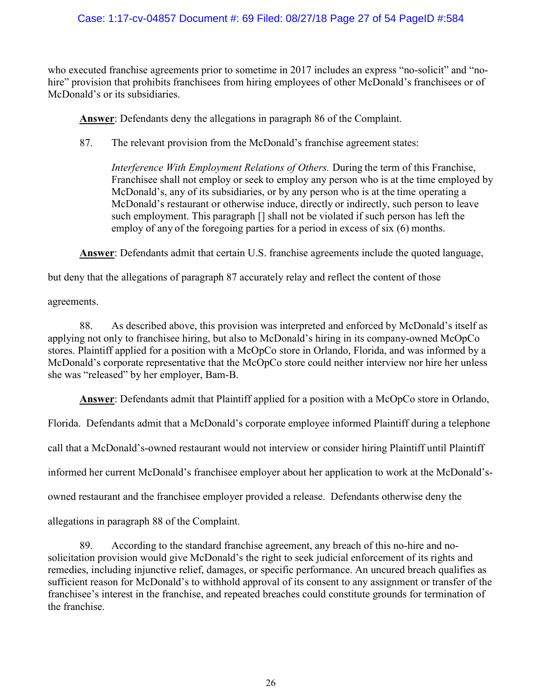who executed franchise agreements prior to sometime in 2017 includes an express "no-solicit" and "nohire" provision that prohibits franchisees from hiring employees of other McDonald's franchisees or of McDonald's or its subsidiaries.

Answer: Defendants deny the allegations in paragraph 86 of the Complaint.

87. The relevant provision from the McDonald's franchise agreement states:

Interference With Employment Relations of Others. During the term of this Franchise, Franchisee shall not employ or seek to employ any person who is at the time employed by McDonald's, any of its subsidiaries, or by any person who is at the time operating a McDonald's restaurant or otherwise induce, directly or indirectly, such person to leave such employment. This paragraph [] shall not be violated if such person has left the employ of any of the foregoing parties for a period in excess of six (6) months.

Answer: Defendants admit that certain U.S. franchise agreements include the quoted language,

but deny that the allegations of paragraph 87 accurately relay and reflect the content of those

agreements.

88. As described above, this provision was interpreted and enforced by McDonald's itself as applying not only to franchisee hiring, but also to McDonald's hiring in its company-owned McOpCo stores. Plaintiff applied for a position with a McOpCo store in Orlando, Florida, and was informed by a McDonald's corporate representative that the McOpCo store could neither interview nor hire her unless she was "released" by her employer, Bam-B.

Answer: Defendants admit that Plaintiff applied for a position with a McOpCo store in Orlando,

Florida. Defendants admit that a McDonald's corporate employee informed Plaintiff during a telephone

call that a McDonald's-owned restaurant would not interview or consider hiring Plaintiff until Plaintiff

informed her current McDonald's franchisee employer about her application to work at the McDonald's-

owned restaurant and the franchisee employer provided a release. Defendants otherwise deny the

allegations in paragraph 88 of the Complaint.

89. According to the standard franchise agreement, any breach of this no-hire and nosolicitation provision would give McDonald's the right to seek judicial enforcement of its rights and remedies, including injunctive relief, damages, or specific performance. An uncured breach qualifies as sufficient reason for McDonald's to withhold approval of its consent to any assignment or transfer of the franchisee's interest in the franchise, and repeated breaches could constitute grounds for termination of the franchise.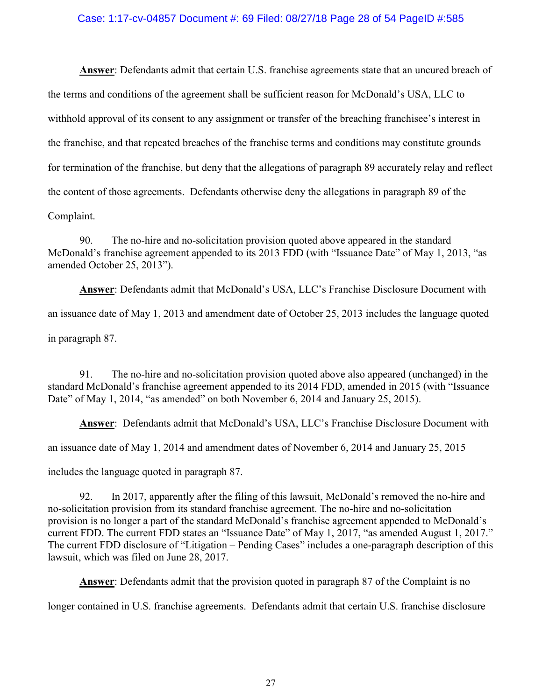#### Case: 1:17-cv-04857 Document #: 69 Filed: 08/27/18 Page 28 of 54 PageID #:585

Answer: Defendants admit that certain U.S. franchise agreements state that an uncured breach of the terms and conditions of the agreement shall be sufficient reason for McDonald's USA, LLC to withhold approval of its consent to any assignment or transfer of the breaching franchisee's interest in the franchise, and that repeated breaches of the franchise terms and conditions may constitute grounds for termination of the franchise, but deny that the allegations of paragraph 89 accurately relay and reflect the content of those agreements. Defendants otherwise deny the allegations in paragraph 89 of the Complaint.

90. The no-hire and no-solicitation provision quoted above appeared in the standard McDonald's franchise agreement appended to its 2013 FDD (with "Issuance Date" of May 1, 2013, "as amended October 25, 2013").

Answer: Defendants admit that McDonald's USA, LLC's Franchise Disclosure Document with an issuance date of May 1, 2013 and amendment date of October 25, 2013 includes the language quoted in paragraph 87.

91. The no-hire and no-solicitation provision quoted above also appeared (unchanged) in the standard McDonald's franchise agreement appended to its 2014 FDD, amended in 2015 (with "Issuance Date" of May 1, 2014, "as amended" on both November 6, 2014 and January 25, 2015).

Answer: Defendants admit that McDonald's USA, LLC's Franchise Disclosure Document with

an issuance date of May 1, 2014 and amendment dates of November 6, 2014 and January 25, 2015

includes the language quoted in paragraph 87.

92. In 2017, apparently after the filing of this lawsuit, McDonald's removed the no-hire and no-solicitation provision from its standard franchise agreement. The no-hire and no-solicitation provision is no longer a part of the standard McDonald's franchise agreement appended to McDonald's current FDD. The current FDD states an "Issuance Date" of May 1, 2017, "as amended August 1, 2017." The current FDD disclosure of "Litigation – Pending Cases" includes a one-paragraph description of this lawsuit, which was filed on June 28, 2017.

Answer: Defendants admit that the provision quoted in paragraph 87 of the Complaint is no

longer contained in U.S. franchise agreements. Defendants admit that certain U.S. franchise disclosure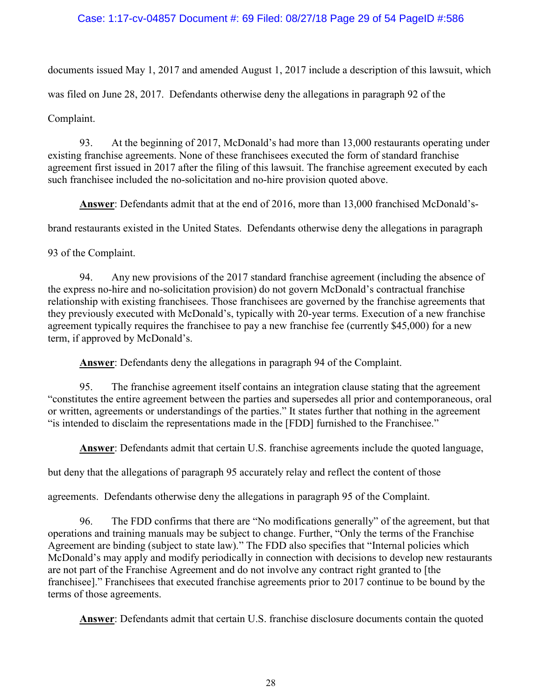### Case: 1:17-cv-04857 Document #: 69 Filed: 08/27/18 Page 29 of 54 PageID #:586

documents issued May 1, 2017 and amended August 1, 2017 include a description of this lawsuit, which was filed on June 28, 2017. Defendants otherwise deny the allegations in paragraph 92 of the Complaint.

93. At the beginning of 2017, McDonald's had more than 13,000 restaurants operating under existing franchise agreements. None of these franchisees executed the form of standard franchise agreement first issued in 2017 after the filing of this lawsuit. The franchise agreement executed by each such franchisee included the no-solicitation and no-hire provision quoted above.

Answer: Defendants admit that at the end of 2016, more than 13,000 franchised McDonald's-

brand restaurants existed in the United States. Defendants otherwise deny the allegations in paragraph

93 of the Complaint.

94. Any new provisions of the 2017 standard franchise agreement (including the absence of the express no-hire and no-solicitation provision) do not govern McDonald's contractual franchise relationship with existing franchisees. Those franchisees are governed by the franchise agreements that they previously executed with McDonald's, typically with 20-year terms. Execution of a new franchise agreement typically requires the franchisee to pay a new franchise fee (currently \$45,000) for a new term, if approved by McDonald's.

Answer: Defendants deny the allegations in paragraph 94 of the Complaint.

95. The franchise agreement itself contains an integration clause stating that the agreement "constitutes the entire agreement between the parties and supersedes all prior and contemporaneous, oral or written, agreements or understandings of the parties." It states further that nothing in the agreement "is intended to disclaim the representations made in the [FDD] furnished to the Franchisee."

Answer: Defendants admit that certain U.S. franchise agreements include the quoted language,

but deny that the allegations of paragraph 95 accurately relay and reflect the content of those

agreements. Defendants otherwise deny the allegations in paragraph 95 of the Complaint.

96. The FDD confirms that there are "No modifications generally" of the agreement, but that operations and training manuals may be subject to change. Further, "Only the terms of the Franchise Agreement are binding (subject to state law)." The FDD also specifies that "Internal policies which McDonald's may apply and modify periodically in connection with decisions to develop new restaurants are not part of the Franchise Agreement and do not involve any contract right granted to [the franchisee]." Franchisees that executed franchise agreements prior to 2017 continue to be bound by the terms of those agreements.

Answer: Defendants admit that certain U.S. franchise disclosure documents contain the quoted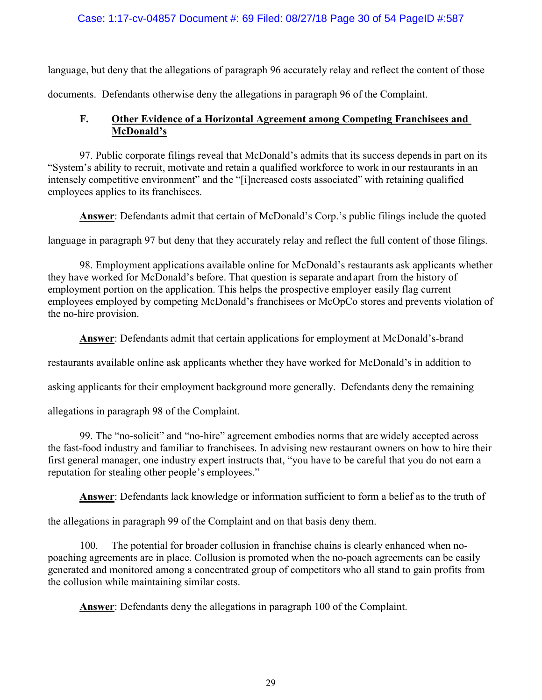### Case: 1:17-cv-04857 Document #: 69 Filed: 08/27/18 Page 30 of 54 PageID #:587

language, but deny that the allegations of paragraph 96 accurately relay and reflect the content of those documents. Defendants otherwise deny the allegations in paragraph 96 of the Complaint.

# F. Other Evidence of a Horizontal Agreement among Competing Franchisees and McDonald's

97. Public corporate filings reveal that McDonald's admits that its success depends in part on its "System's ability to recruit, motivate and retain a qualified workforce to work in our restaurants in an intensely competitive environment" and the "[i]ncreased costs associated" with retaining qualified employees applies to its franchisees.

Answer: Defendants admit that certain of McDonald's Corp.'s public filings include the quoted

language in paragraph 97 but deny that they accurately relay and reflect the full content of those filings.

98. Employment applications available online for McDonald's restaurants ask applicants whether they have worked for McDonald's before. That question is separate and apart from the history of employment portion on the application. This helps the prospective employer easily flag current employees employed by competing McDonald's franchisees or McOpCo stores and prevents violation of the no-hire provision.

Answer: Defendants admit that certain applications for employment at McDonald's-brand

restaurants available online ask applicants whether they have worked for McDonald's in addition to

asking applicants for their employment background more generally. Defendants deny the remaining

allegations in paragraph 98 of the Complaint.

99. The "no-solicit" and "no-hire" agreement embodies norms that are widely accepted across the fast-food industry and familiar to franchisees. In advising new restaurant owners on how to hire their first general manager, one industry expert instructs that, "you have to be careful that you do not earn a reputation for stealing other people's employees."

Answer: Defendants lack knowledge or information sufficient to form a belief as to the truth of

the allegations in paragraph 99 of the Complaint and on that basis deny them.

100. The potential for broader collusion in franchise chains is clearly enhanced when nopoaching agreements are in place. Collusion is promoted when the no-poach agreements can be easily generated and monitored among a concentrated group of competitors who all stand to gain profits from the collusion while maintaining similar costs.

**Answer:** Defendants deny the allegations in paragraph 100 of the Complaint.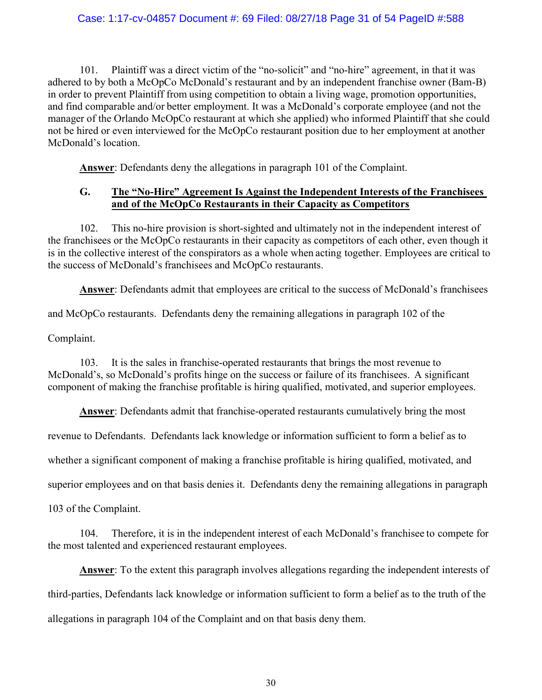#### Case: 1:17-cv-04857 Document #: 69 Filed: 08/27/18 Page 31 of 54 PageID #:588

101. Plaintiff was a direct victim of the "no-solicit" and "no-hire" agreement, in that it was adhered to by both a McOpCo McDonald's restaurant and by an independent franchise owner (Bam-B) in order to prevent Plaintiff from using competition to obtain a living wage, promotion opportunities, and find comparable and/or better employment. It was a McDonald's corporate employee (and not the manager of the Orlando McOpCo restaurant at which she applied) who informed Plaintiff that she could not be hired or even interviewed for the McOpCo restaurant position due to her employment at another McDonald's location.

Answer: Defendants deny the allegations in paragraph 101 of the Complaint.

### G. The "No-Hire" Agreement Is Against the Independent Interests of the Franchisees and of the McOpCo Restaurants in their Capacity as Competitors

102. This no-hire provision is short-sighted and ultimately not in the independent interest of the franchisees or the McOpCo restaurants in their capacity as competitors of each other, even though it is in the collective interest of the conspirators as a whole when acting together. Employees are critical to the success of McDonald's franchisees and McOpCo restaurants.

Answer: Defendants admit that employees are critical to the success of McDonald's franchisees

and McOpCo restaurants. Defendants deny the remaining allegations in paragraph 102 of the

Complaint.

103. It is the sales in franchise-operated restaurants that brings the most revenue to McDonald's, so McDonald's profits hinge on the success or failure of its franchisees. A significant component of making the franchise profitable is hiring qualified, motivated, and superior employees.

Answer: Defendants admit that franchise-operated restaurants cumulatively bring the most

revenue to Defendants. Defendants lack knowledge or information sufficient to form a belief as to

whether a significant component of making a franchise profitable is hiring qualified, motivated, and

superior employees and on that basis denies it. Defendants deny the remaining allegations in paragraph

103 of the Complaint.

104. Therefore, it is in the independent interest of each McDonald's franchisee to compete for the most talented and experienced restaurant employees.

Answer: To the extent this paragraph involves allegations regarding the independent interests of third-parties, Defendants lack knowledge or information sufficient to form a belief as to the truth of the allegations in paragraph 104 of the Complaint and on that basis deny them.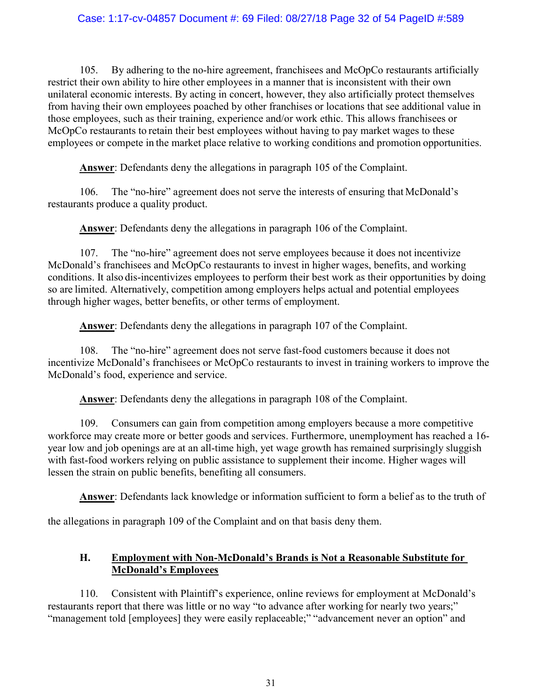### Case: 1:17-cv-04857 Document #: 69 Filed: 08/27/18 Page 32 of 54 PageID #:589

105. By adhering to the no-hire agreement, franchisees and McOpCo restaurants artificially restrict their own ability to hire other employees in a manner that is inconsistent with their own unilateral economic interests. By acting in concert, however, they also artificially protect themselves from having their own employees poached by other franchises or locations that see additional value in those employees, such as their training, experience and/or work ethic. This allows franchisees or McOpCo restaurants to retain their best employees without having to pay market wages to these employees or compete in the market place relative to working conditions and promotion opportunities.

Answer: Defendants deny the allegations in paragraph 105 of the Complaint.

106. The "no-hire" agreement does not serve the interests of ensuring that McDonald's restaurants produce a quality product.

Answer: Defendants deny the allegations in paragraph 106 of the Complaint.

107. The "no-hire" agreement does not serve employees because it does not incentivize McDonald's franchisees and McOpCo restaurants to invest in higher wages, benefits, and working conditions. It also dis-incentivizes employees to perform their best work as their opportunities by doing so are limited. Alternatively, competition among employers helps actual and potential employees through higher wages, better benefits, or other terms of employment.

Answer: Defendants deny the allegations in paragraph 107 of the Complaint.

108. The "no-hire" agreement does not serve fast-food customers because it does not incentivize McDonald's franchisees or McOpCo restaurants to invest in training workers to improve the McDonald's food, experience and service.

Answer: Defendants deny the allegations in paragraph 108 of the Complaint.

109. Consumers can gain from competition among employers because a more competitive workforce may create more or better goods and services. Furthermore, unemployment has reached a 16 year low and job openings are at an all-time high, yet wage growth has remained surprisingly sluggish with fast-food workers relying on public assistance to supplement their income. Higher wages will lessen the strain on public benefits, benefiting all consumers.

Answer: Defendants lack knowledge or information sufficient to form a belief as to the truth of

the allegations in paragraph 109 of the Complaint and on that basis deny them.

### H. Employment with Non-McDonald's Brands is Not a Reasonable Substitute for McDonald's Employees

110. Consistent with Plaintiff's experience, online reviews for employment at McDonald's restaurants report that there was little or no way "to advance after working for nearly two years;" "management told [employees] they were easily replaceable;" "advancement never an option" and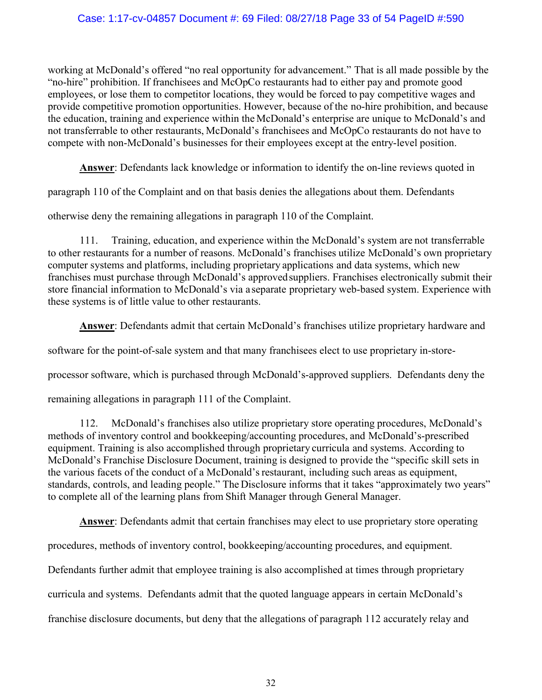### Case: 1:17-cv-04857 Document #: 69 Filed: 08/27/18 Page 33 of 54 PageID #:590

working at McDonald's offered "no real opportunity for advancement." That is all made possible by the "no-hire" prohibition. If franchisees and McOpCo restaurants had to either pay and promote good employees, or lose them to competitor locations, they would be forced to pay competitive wages and provide competitive promotion opportunities. However, because of the no-hire prohibition, and because the education, training and experience within the McDonald's enterprise are unique to McDonald's and not transferrable to other restaurants, McDonald's franchisees and McOpCo restaurants do not have to compete with non-McDonald's businesses for their employees except at the entry-level position.

Answer: Defendants lack knowledge or information to identify the on-line reviews quoted in

paragraph 110 of the Complaint and on that basis denies the allegations about them. Defendants

otherwise deny the remaining allegations in paragraph 110 of the Complaint.

111. Training, education, and experience within the McDonald's system are not transferrable to other restaurants for a number of reasons. McDonald's franchises utilize McDonald's own proprietary computer systems and platforms, including proprietary applications and data systems, which new franchises must purchase through McDonald's approved suppliers. Franchises electronically submit their store financial information to McDonald's via a separate proprietary web-based system. Experience with these systems is of little value to other restaurants.

Answer: Defendants admit that certain McDonald's franchises utilize proprietary hardware and

software for the point-of-sale system and that many franchisees elect to use proprietary in-store-

processor software, which is purchased through McDonald's-approved suppliers. Defendants deny the

remaining allegations in paragraph 111 of the Complaint.

112. McDonald's franchises also utilize proprietary store operating procedures, McDonald's methods of inventory control and bookkeeping/accounting procedures, and McDonald's-prescribed equipment. Training is also accomplished through proprietary curricula and systems. According to McDonald's Franchise Disclosure Document, training is designed to provide the "specific skill sets in the various facets of the conduct of a McDonald's restaurant, including such areas as equipment, standards, controls, and leading people." The Disclosure informs that it takes "approximately two years" to complete all of the learning plans from Shift Manager through General Manager.

Answer: Defendants admit that certain franchises may elect to use proprietary store operating

procedures, methods of inventory control, bookkeeping/accounting procedures, and equipment.

Defendants further admit that employee training is also accomplished at times through proprietary

curricula and systems. Defendants admit that the quoted language appears in certain McDonald's

franchise disclosure documents, but deny that the allegations of paragraph 112 accurately relay and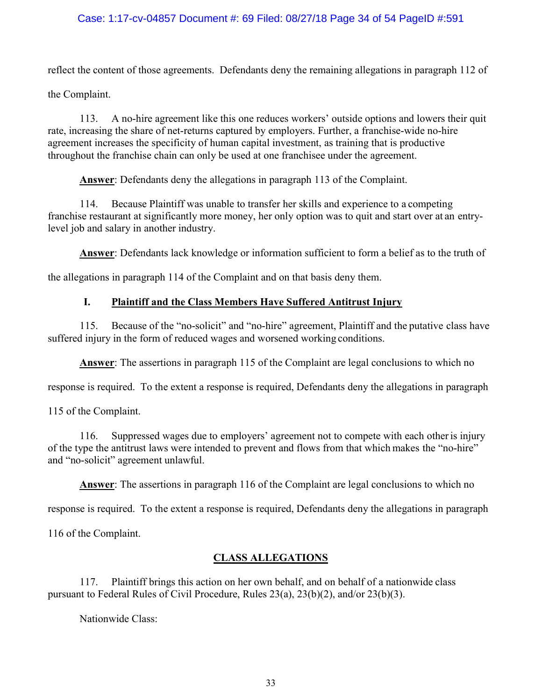### Case: 1:17-cv-04857 Document #: 69 Filed: 08/27/18 Page 34 of 54 PageID #:591

reflect the content of those agreements. Defendants deny the remaining allegations in paragraph 112 of

the Complaint.

113. A no-hire agreement like this one reduces workers' outside options and lowers their quit rate, increasing the share of net-returns captured by employers. Further, a franchise-wide no-hire agreement increases the specificity of human capital investment, as training that is productive throughout the franchise chain can only be used at one franchisee under the agreement.

Answer: Defendants deny the allegations in paragraph 113 of the Complaint.

114. Because Plaintiff was unable to transfer her skills and experience to a competing franchise restaurant at significantly more money, her only option was to quit and start over at an entrylevel job and salary in another industry.

Answer: Defendants lack knowledge or information sufficient to form a belief as to the truth of

the allegations in paragraph 114 of the Complaint and on that basis deny them.

### I. Plaintiff and the Class Members Have Suffered Antitrust Injury

115. Because of the "no-solicit" and "no-hire" agreement, Plaintiff and the putative class have suffered injury in the form of reduced wages and worsened working conditions.

Answer: The assertions in paragraph 115 of the Complaint are legal conclusions to which no

response is required. To the extent a response is required, Defendants deny the allegations in paragraph

115 of the Complaint.

116. Suppressed wages due to employers' agreement not to compete with each other is injury of the type the antitrust laws were intended to prevent and flows from that which makes the "no-hire" and "no-solicit" agreement unlawful.

Answer: The assertions in paragraph 116 of the Complaint are legal conclusions to which no

response is required. To the extent a response is required, Defendants deny the allegations in paragraph

116 of the Complaint.

### CLASS ALLEGATIONS

117. Plaintiff brings this action on her own behalf, and on behalf of a nationwide class pursuant to Federal Rules of Civil Procedure, Rules 23(a), 23(b)(2), and/or 23(b)(3).

Nationwide Class: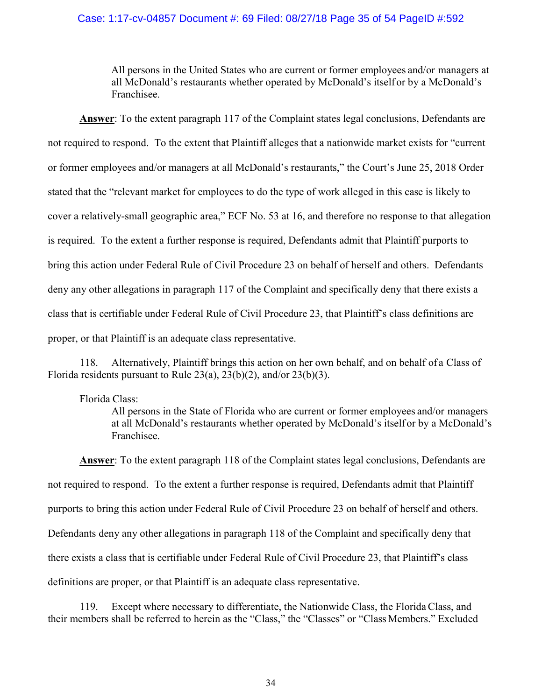#### Case: 1:17-cv-04857 Document #: 69 Filed: 08/27/18 Page 35 of 54 PageID #:592

All persons in the United States who are current or former employees and/or managers at all McDonald's restaurants whether operated by McDonald's itself or by a McDonald's Franchisee.

Answer: To the extent paragraph 117 of the Complaint states legal conclusions, Defendants are not required to respond. To the extent that Plaintiff alleges that a nationwide market exists for "current or former employees and/or managers at all McDonald's restaurants," the Court's June 25, 2018 Order stated that the "relevant market for employees to do the type of work alleged in this case is likely to cover a relatively-small geographic area," ECF No. 53 at 16, and therefore no response to that allegation is required. To the extent a further response is required, Defendants admit that Plaintiff purports to bring this action under Federal Rule of Civil Procedure 23 on behalf of herself and others. Defendants deny any other allegations in paragraph 117 of the Complaint and specifically deny that there exists a class that is certifiable under Federal Rule of Civil Procedure 23, that Plaintiff's class definitions are proper, or that Plaintiff is an adequate class representative.

118. Alternatively, Plaintiff brings this action on her own behalf, and on behalf of a Class of Florida residents pursuant to Rule 23(a), 23(b)(2), and/or 23(b)(3).

#### Florida Class:

All persons in the State of Florida who are current or former employees and/or managers at all McDonald's restaurants whether operated by McDonald's itself or by a McDonald's Franchisee.

Answer: To the extent paragraph 118 of the Complaint states legal conclusions, Defendants are not required to respond. To the extent a further response is required, Defendants admit that Plaintiff purports to bring this action under Federal Rule of Civil Procedure 23 on behalf of herself and others. Defendants deny any other allegations in paragraph 118 of the Complaint and specifically deny that there exists a class that is certifiable under Federal Rule of Civil Procedure 23, that Plaintiff's class definitions are proper, or that Plaintiff is an adequate class representative.

119. Except where necessary to differentiate, the Nationwide Class, the Florida Class, and their members shall be referred to herein as the "Class," the "Classes" or "Class Members." Excluded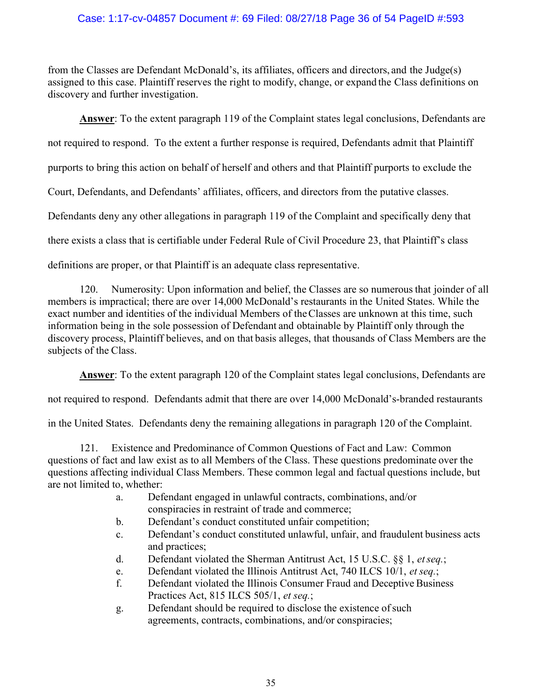### Case: 1:17-cv-04857 Document #: 69 Filed: 08/27/18 Page 36 of 54 PageID #:593

from the Classes are Defendant McDonald's, its affiliates, officers and directors, and the Judge(s) assigned to this case. Plaintiff reserves the right to modify, change, or expand the Class definitions on discovery and further investigation.

Answer: To the extent paragraph 119 of the Complaint states legal conclusions, Defendants are not required to respond. To the extent a further response is required, Defendants admit that Plaintiff purports to bring this action on behalf of herself and others and that Plaintiff purports to exclude the Court, Defendants, and Defendants' affiliates, officers, and directors from the putative classes. Defendants deny any other allegations in paragraph 119 of the Complaint and specifically deny that there exists a class that is certifiable under Federal Rule of Civil Procedure 23, that Plaintiff's class definitions are proper, or that Plaintiff is an adequate class representative.

120. Numerosity: Upon information and belief, the Classes are so numerous that joinder of all members is impractical; there are over 14,000 McDonald's restaurants in the United States. While the exact number and identities of the individual Members of the Classes are unknown at this time, such information being in the sole possession of Defendant and obtainable by Plaintiff only through the discovery process, Plaintiff believes, and on that basis alleges, that thousands of Class Members are the subjects of the Class.

Answer: To the extent paragraph 120 of the Complaint states legal conclusions, Defendants are

not required to respond. Defendants admit that there are over 14,000 McDonald's-branded restaurants

in the United States. Defendants deny the remaining allegations in paragraph 120 of the Complaint.

121. Existence and Predominance of Common Questions of Fact and Law: Common questions of fact and law exist as to all Members of the Class. These questions predominate over the questions affecting individual Class Members. These common legal and factual questions include, but are not limited to, whether:

- a. Defendant engaged in unlawful contracts, combinations, and/or conspiracies in restraint of trade and commerce;
- b. Defendant's conduct constituted unfair competition;
- c. Defendant's conduct constituted unlawful, unfair, and fraudulent business acts and practices;
- d. Defendant violated the Sherman Antitrust Act, 15 U.S.C. §§ 1, et seq.;
- e. Defendant violated the Illinois Antitrust Act, 740 ILCS 10/1, et seq.;
- f. Defendant violated the Illinois Consumer Fraud and Deceptive Business Practices Act, 815 ILCS 505/1, et seq.;
- g. Defendant should be required to disclose the existence of such agreements, contracts, combinations, and/or conspiracies;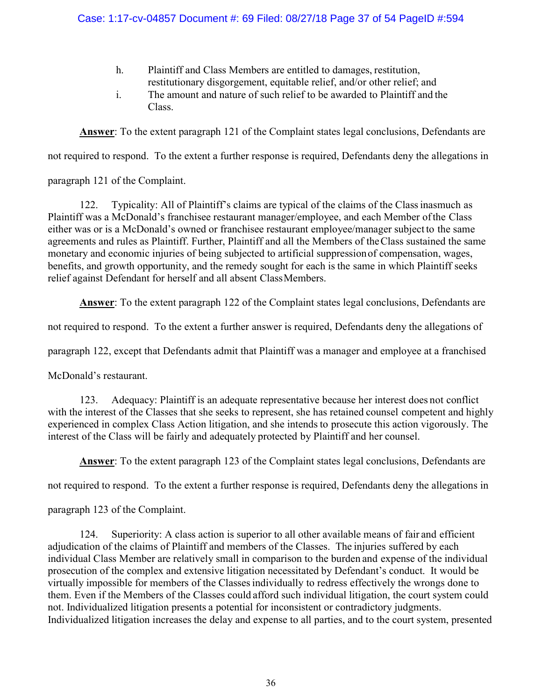### Case: 1:17-cv-04857 Document #: 69 Filed: 08/27/18 Page 37 of 54 PageID #:594

- h. Plaintiff and Class Members are entitled to damages, restitution, restitutionary disgorgement, equitable relief, and/or other relief; and
- i. The amount and nature of such relief to be awarded to Plaintiff and the Class.

Answer: To the extent paragraph 121 of the Complaint states legal conclusions, Defendants are

not required to respond. To the extent a further response is required, Defendants deny the allegations in

paragraph 121 of the Complaint.

122. Typicality: All of Plaintiff's claims are typical of the claims of the Class inasmuch as Plaintiff was a McDonald's franchisee restaurant manager/employee, and each Member of the Class either was or is a McDonald's owned or franchisee restaurant employee/manager subject to the same agreements and rules as Plaintiff. Further, Plaintiff and all the Members of the Class sustained the same monetary and economic injuries of being subjected to artificial suppression of compensation, wages, benefits, and growth opportunity, and the remedy sought for each is the same in which Plaintiff seeks relief against Defendant for herself and all absent Class Members.

Answer: To the extent paragraph 122 of the Complaint states legal conclusions, Defendants are

not required to respond. To the extent a further answer is required, Defendants deny the allegations of

paragraph 122, except that Defendants admit that Plaintiff was a manager and employee at a franchised

McDonald's restaurant.

123. Adequacy: Plaintiff is an adequate representative because her interest does not conflict with the interest of the Classes that she seeks to represent, she has retained counsel competent and highly experienced in complex Class Action litigation, and she intends to prosecute this action vigorously. The interest of the Class will be fairly and adequately protected by Plaintiff and her counsel.

Answer: To the extent paragraph 123 of the Complaint states legal conclusions, Defendants are

not required to respond. To the extent a further response is required, Defendants deny the allegations in

paragraph 123 of the Complaint.

124. Superiority: A class action is superior to all other available means of fair and efficient adjudication of the claims of Plaintiff and members of the Classes. The injuries suffered by each individual Class Member are relatively small in comparison to the burden and expense of the individual prosecution of the complex and extensive litigation necessitated by Defendant's conduct. It would be virtually impossible for members of the Classes individually to redress effectively the wrongs done to them. Even if the Members of the Classes could afford such individual litigation, the court system could not. Individualized litigation presents a potential for inconsistent or contradictory judgments. Individualized litigation increases the delay and expense to all parties, and to the court system, presented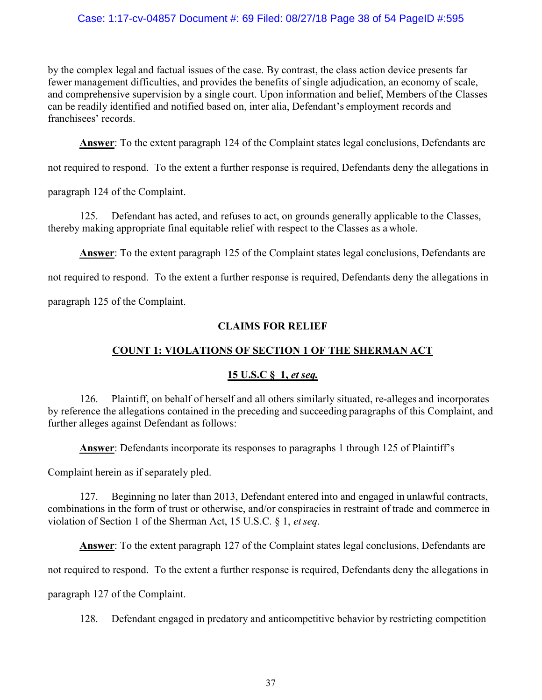### Case: 1:17-cv-04857 Document #: 69 Filed: 08/27/18 Page 38 of 54 PageID #:595

by the complex legal and factual issues of the case. By contrast, the class action device presents far fewer management difficulties, and provides the benefits of single adjudication, an economy of scale, and comprehensive supervision by a single court. Upon information and belief, Members of the Classes can be readily identified and notified based on, inter alia, Defendant's employment records and franchisees' records.

Answer: To the extent paragraph 124 of the Complaint states legal conclusions, Defendants are

not required to respond. To the extent a further response is required, Defendants deny the allegations in

paragraph 124 of the Complaint.

125. Defendant has acted, and refuses to act, on grounds generally applicable to the Classes, thereby making appropriate final equitable relief with respect to the Classes as a whole.

Answer: To the extent paragraph 125 of the Complaint states legal conclusions, Defendants are

not required to respond. To the extent a further response is required, Defendants deny the allegations in

paragraph 125 of the Complaint.

### CLAIMS FOR RELIEF

# COUNT 1: VIOLATIONS OF SECTION 1 OF THE SHERMAN ACT

### 15 U.S.C § 1, et seq.

126. Plaintiff, on behalf of herself and all others similarly situated, re-alleges and incorporates by reference the allegations contained in the preceding and succeeding paragraphs of this Complaint, and further alleges against Defendant as follows:

Answer: Defendants incorporate its responses to paragraphs 1 through 125 of Plaintiff's

Complaint herein as if separately pled.

127. Beginning no later than 2013, Defendant entered into and engaged in unlawful contracts, combinations in the form of trust or otherwise, and/or conspiracies in restraint of trade and commerce in violation of Section 1 of the Sherman Act, 15 U.S.C. § 1, et seq.

Answer: To the extent paragraph 127 of the Complaint states legal conclusions, Defendants are

not required to respond. To the extent a further response is required, Defendants deny the allegations in

paragraph 127 of the Complaint.

128. Defendant engaged in predatory and anticompetitive behavior by restricting competition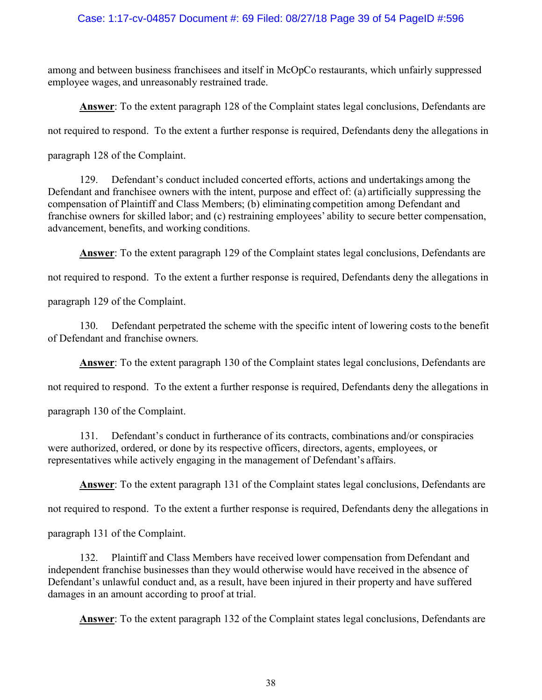### Case: 1:17-cv-04857 Document #: 69 Filed: 08/27/18 Page 39 of 54 PageID #:596

among and between business franchisees and itself in McOpCo restaurants, which unfairly suppressed employee wages, and unreasonably restrained trade.

Answer: To the extent paragraph 128 of the Complaint states legal conclusions, Defendants are

not required to respond. To the extent a further response is required, Defendants deny the allegations in

paragraph 128 of the Complaint.

129. Defendant's conduct included concerted efforts, actions and undertakings among the Defendant and franchisee owners with the intent, purpose and effect of: (a) artificially suppressing the compensation of Plaintiff and Class Members; (b) eliminating competition among Defendant and franchise owners for skilled labor; and (c) restraining employees' ability to secure better compensation, advancement, benefits, and working conditions.

Answer: To the extent paragraph 129 of the Complaint states legal conclusions, Defendants are

not required to respond. To the extent a further response is required, Defendants deny the allegations in

paragraph 129 of the Complaint.

130. Defendant perpetrated the scheme with the specific intent of lowering costs to the benefit of Defendant and franchise owners.

Answer: To the extent paragraph 130 of the Complaint states legal conclusions, Defendants are

not required to respond. To the extent a further response is required, Defendants deny the allegations in

paragraph 130 of the Complaint.

131. Defendant's conduct in furtherance of its contracts, combinations and/or conspiracies were authorized, ordered, or done by its respective officers, directors, agents, employees, or representatives while actively engaging in the management of Defendant's affairs.

Answer: To the extent paragraph 131 of the Complaint states legal conclusions, Defendants are

not required to respond. To the extent a further response is required, Defendants deny the allegations in

paragraph 131 of the Complaint.

132. Plaintiff and Class Members have received lower compensation from Defendant and independent franchise businesses than they would otherwise would have received in the absence of Defendant's unlawful conduct and, as a result, have been injured in their property and have suffered damages in an amount according to proof at trial.

Answer: To the extent paragraph 132 of the Complaint states legal conclusions, Defendants are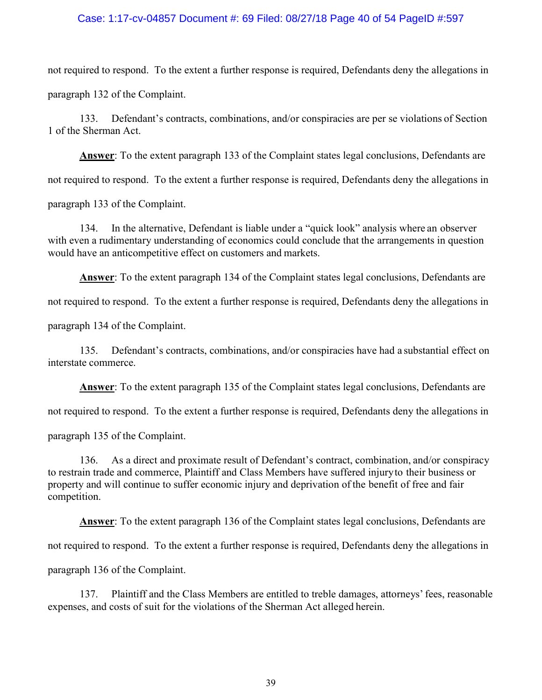#### Case: 1:17-cv-04857 Document #: 69 Filed: 08/27/18 Page 40 of 54 PageID #:597

not required to respond. To the extent a further response is required, Defendants deny the allegations in paragraph 132 of the Complaint.

133. Defendant's contracts, combinations, and/or conspiracies are per se violations of Section 1 of the Sherman Act.

Answer: To the extent paragraph 133 of the Complaint states legal conclusions, Defendants are not required to respond. To the extent a further response is required, Defendants deny the allegations in paragraph 133 of the Complaint.

134. In the alternative, Defendant is liable under a "quick look" analysis where an observer with even a rudimentary understanding of economics could conclude that the arrangements in question would have an anticompetitive effect on customers and markets.

Answer: To the extent paragraph 134 of the Complaint states legal conclusions, Defendants are

not required to respond. To the extent a further response is required, Defendants deny the allegations in

paragraph 134 of the Complaint.

135. Defendant's contracts, combinations, and/or conspiracies have had a substantial effect on interstate commerce.

Answer: To the extent paragraph 135 of the Complaint states legal conclusions, Defendants are

not required to respond. To the extent a further response is required, Defendants deny the allegations in

paragraph 135 of the Complaint.

136. As a direct and proximate result of Defendant's contract, combination, and/or conspiracy to restrain trade and commerce, Plaintiff and Class Members have suffered injury to their business or property and will continue to suffer economic injury and deprivation of the benefit of free and fair competition.

Answer: To the extent paragraph 136 of the Complaint states legal conclusions, Defendants are

not required to respond. To the extent a further response is required, Defendants deny the allegations in

paragraph 136 of the Complaint.

137. Plaintiff and the Class Members are entitled to treble damages, attorneys' fees, reasonable expenses, and costs of suit for the violations of the Sherman Act alleged herein.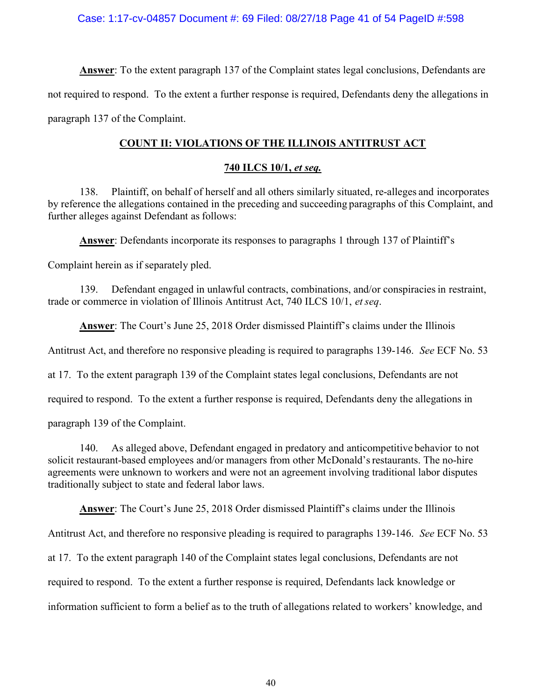Answer: To the extent paragraph 137 of the Complaint states legal conclusions, Defendants are not required to respond. To the extent a further response is required, Defendants deny the allegations in paragraph 137 of the Complaint.

# COUNT II: VIOLATIONS OF THE ILLINOIS ANTITRUST ACT

### 740 ILCS 10/1, et seq.

138. Plaintiff, on behalf of herself and all others similarly situated, re-alleges and incorporates by reference the allegations contained in the preceding and succeeding paragraphs of this Complaint, and further alleges against Defendant as follows:

Answer: Defendants incorporate its responses to paragraphs 1 through 137 of Plaintiff's

Complaint herein as if separately pled.

139. Defendant engaged in unlawful contracts, combinations, and/or conspiracies in restraint, trade or commerce in violation of Illinois Antitrust Act, 740 ILCS 10/1, et seq.

Answer: The Court's June 25, 2018 Order dismissed Plaintiff's claims under the Illinois

Antitrust Act, and therefore no responsive pleading is required to paragraphs 139-146. See ECF No. 53

at 17. To the extent paragraph 139 of the Complaint states legal conclusions, Defendants are not

required to respond. To the extent a further response is required, Defendants deny the allegations in

paragraph 139 of the Complaint.

140. As alleged above, Defendant engaged in predatory and anticompetitive behavior to not solicit restaurant-based employees and/or managers from other McDonald's restaurants. The no-hire agreements were unknown to workers and were not an agreement involving traditional labor disputes traditionally subject to state and federal labor laws.

Answer: The Court's June 25, 2018 Order dismissed Plaintiff's claims under the Illinois

Antitrust Act, and therefore no responsive pleading is required to paragraphs 139-146. See ECF No. 53

at 17. To the extent paragraph 140 of the Complaint states legal conclusions, Defendants are not

required to respond. To the extent a further response is required, Defendants lack knowledge or

information sufficient to form a belief as to the truth of allegations related to workers' knowledge, and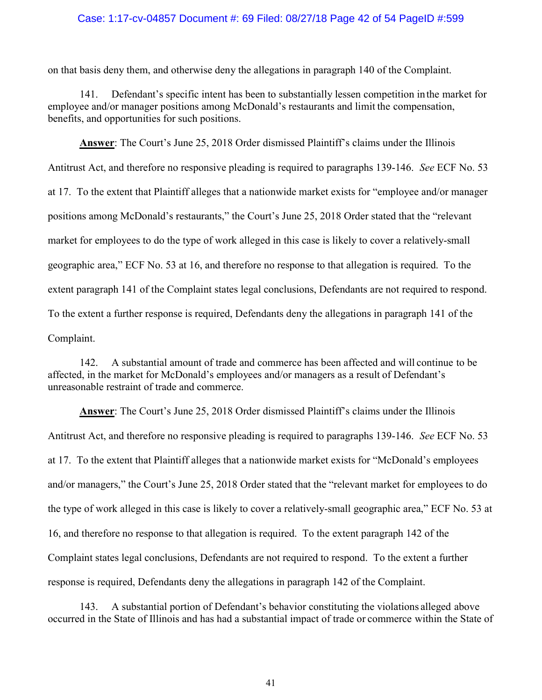#### Case: 1:17-cv-04857 Document #: 69 Filed: 08/27/18 Page 42 of 54 PageID #:599

on that basis deny them, and otherwise deny the allegations in paragraph 140 of the Complaint.

141. Defendant's specific intent has been to substantially lessen competition in the market for employee and/or manager positions among McDonald's restaurants and limit the compensation, benefits, and opportunities for such positions.

Answer: The Court's June 25, 2018 Order dismissed Plaintiff's claims under the Illinois Antitrust Act, and therefore no responsive pleading is required to paragraphs 139-146. See ECF No. 53 at 17. To the extent that Plaintiff alleges that a nationwide market exists for "employee and/or manager positions among McDonald's restaurants," the Court's June 25, 2018 Order stated that the "relevant market for employees to do the type of work alleged in this case is likely to cover a relatively-small geographic area," ECF No. 53 at 16, and therefore no response to that allegation is required. To the extent paragraph 141 of the Complaint states legal conclusions, Defendants are not required to respond. To the extent a further response is required, Defendants deny the allegations in paragraph 141 of the Complaint.

142. A substantial amount of trade and commerce has been affected and will continue to be affected, in the market for McDonald's employees and/or managers as a result of Defendant's unreasonable restraint of trade and commerce.

Answer: The Court's June 25, 2018 Order dismissed Plaintiff's claims under the Illinois Antitrust Act, and therefore no responsive pleading is required to paragraphs 139-146. See ECF No. 53 at 17. To the extent that Plaintiff alleges that a nationwide market exists for "McDonald's employees and/or managers," the Court's June 25, 2018 Order stated that the "relevant market for employees to do the type of work alleged in this case is likely to cover a relatively-small geographic area," ECF No. 53 at 16, and therefore no response to that allegation is required. To the extent paragraph 142 of the Complaint states legal conclusions, Defendants are not required to respond. To the extent a further response is required, Defendants deny the allegations in paragraph 142 of the Complaint.

143. A substantial portion of Defendant's behavior constituting the violations alleged above occurred in the State of Illinois and has had a substantial impact of trade or commerce within the State of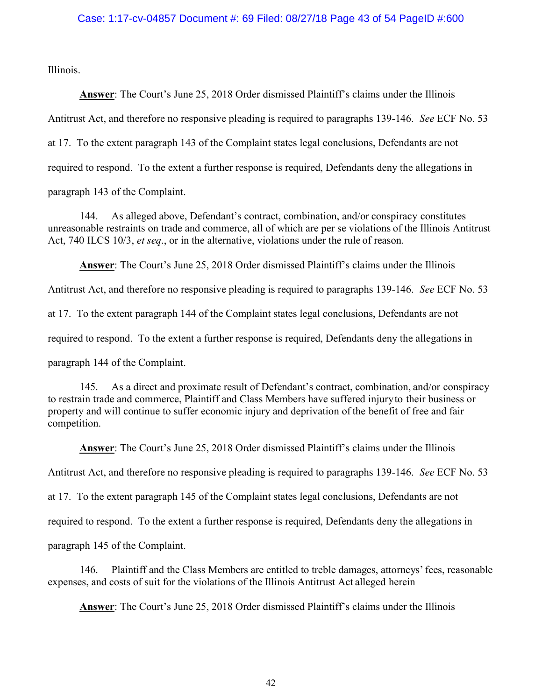#### Case: 1:17-cv-04857 Document #: 69 Filed: 08/27/18 Page 43 of 54 PageID #:600

Illinois.

Answer: The Court's June 25, 2018 Order dismissed Plaintiff's claims under the Illinois

Antitrust Act, and therefore no responsive pleading is required to paragraphs 139-146. See ECF No. 53

at 17. To the extent paragraph 143 of the Complaint states legal conclusions, Defendants are not

required to respond. To the extent a further response is required, Defendants deny the allegations in

paragraph 143 of the Complaint.

144. As alleged above, Defendant's contract, combination, and/or conspiracy constitutes unreasonable restraints on trade and commerce, all of which are per se violations of the Illinois Antitrust Act, 740 ILCS 10/3, et seq., or in the alternative, violations under the rule of reason.

Answer: The Court's June 25, 2018 Order dismissed Plaintiff's claims under the Illinois

Antitrust Act, and therefore no responsive pleading is required to paragraphs 139-146. See ECF No. 53

at 17. To the extent paragraph 144 of the Complaint states legal conclusions, Defendants are not

required to respond. To the extent a further response is required, Defendants deny the allegations in

paragraph 144 of the Complaint.

145. As a direct and proximate result of Defendant's contract, combination, and/or conspiracy to restrain trade and commerce, Plaintiff and Class Members have suffered injury to their business or property and will continue to suffer economic injury and deprivation of the benefit of free and fair competition.

Answer: The Court's June 25, 2018 Order dismissed Plaintiff's claims under the Illinois Antitrust Act, and therefore no responsive pleading is required to paragraphs 139-146. See ECF No. 53 at 17. To the extent paragraph 145 of the Complaint states legal conclusions, Defendants are not required to respond. To the extent a further response is required, Defendants deny the allegations in paragraph 145 of the Complaint.

146. Plaintiff and the Class Members are entitled to treble damages, attorneys' fees, reasonable expenses, and costs of suit for the violations of the Illinois Antitrust Act alleged herein

Answer: The Court's June 25, 2018 Order dismissed Plaintiff's claims under the Illinois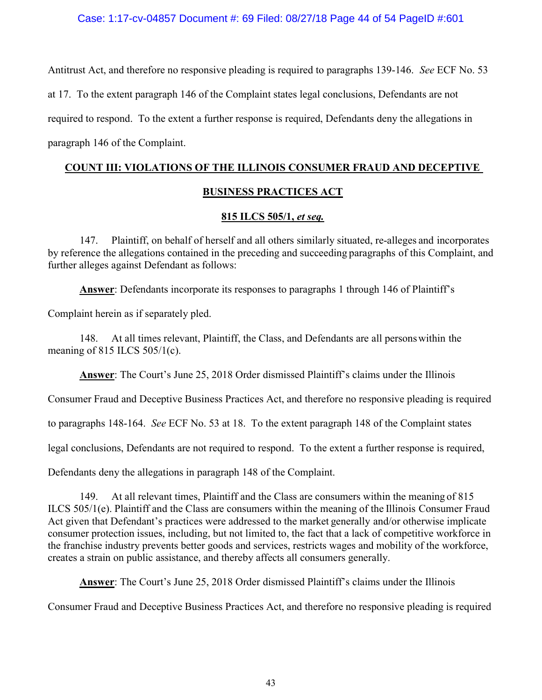#### Case: 1:17-cv-04857 Document #: 69 Filed: 08/27/18 Page 44 of 54 PageID #:601

Antitrust Act, and therefore no responsive pleading is required to paragraphs 139-146. See ECF No. 53 at 17. To the extent paragraph 146 of the Complaint states legal conclusions, Defendants are not required to respond. To the extent a further response is required, Defendants deny the allegations in paragraph 146 of the Complaint.

# COUNT III: VIOLATIONS OF THE ILLINOIS CONSUMER FRAUD AND DECEPTIVE

### BUSINESS PRACTICES ACT

#### 815 ILCS 505/1, et seq.

147. Plaintiff, on behalf of herself and all others similarly situated, re-alleges and incorporates by reference the allegations contained in the preceding and succeeding paragraphs of this Complaint, and further alleges against Defendant as follows:

Answer: Defendants incorporate its responses to paragraphs 1 through 146 of Plaintiff's

Complaint herein as if separately pled.

148. At all times relevant, Plaintiff, the Class, and Defendants are all persons within the meaning of 815 ILCS  $505/1(c)$ .

Answer: The Court's June 25, 2018 Order dismissed Plaintiff's claims under the Illinois

Consumer Fraud and Deceptive Business Practices Act, and therefore no responsive pleading is required

to paragraphs 148-164. See ECF No. 53 at 18. To the extent paragraph 148 of the Complaint states

legal conclusions, Defendants are not required to respond. To the extent a further response is required,

Defendants deny the allegations in paragraph 148 of the Complaint.

149. At all relevant times, Plaintiff and the Class are consumers within the meaning of 815 ILCS 505/1(e). Plaintiff and the Class are consumers within the meaning of the Illinois Consumer Fraud Act given that Defendant's practices were addressed to the market generally and/or otherwise implicate consumer protection issues, including, but not limited to, the fact that a lack of competitive workforce in the franchise industry prevents better goods and services, restricts wages and mobility of the workforce, creates a strain on public assistance, and thereby affects all consumers generally.

Answer: The Court's June 25, 2018 Order dismissed Plaintiff's claims under the Illinois

Consumer Fraud and Deceptive Business Practices Act, and therefore no responsive pleading is required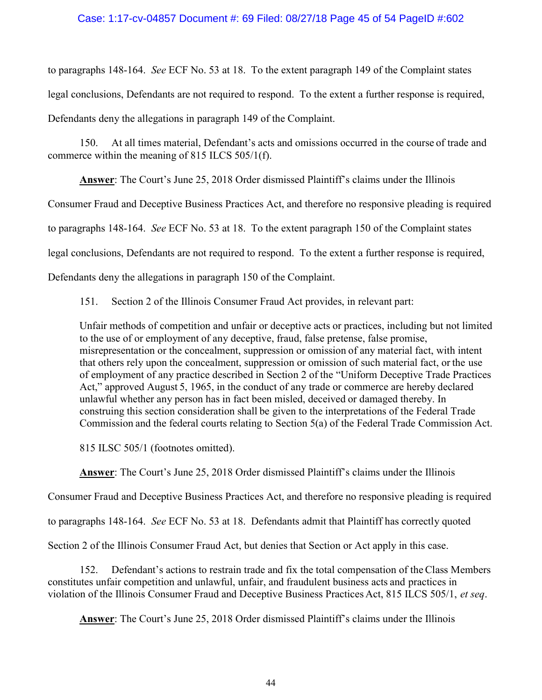#### Case: 1:17-cv-04857 Document #: 69 Filed: 08/27/18 Page 45 of 54 PageID #:602

to paragraphs 148-164. See ECF No. 53 at 18. To the extent paragraph 149 of the Complaint states legal conclusions, Defendants are not required to respond. To the extent a further response is required, Defendants deny the allegations in paragraph 149 of the Complaint.

150. At all times material, Defendant's acts and omissions occurred in the course of trade and commerce within the meaning of 815 ILCS 505/1(f).

Answer: The Court's June 25, 2018 Order dismissed Plaintiff's claims under the Illinois

Consumer Fraud and Deceptive Business Practices Act, and therefore no responsive pleading is required

to paragraphs 148-164. See ECF No. 53 at 18. To the extent paragraph 150 of the Complaint states

legal conclusions, Defendants are not required to respond. To the extent a further response is required,

Defendants deny the allegations in paragraph 150 of the Complaint.

151. Section 2 of the Illinois Consumer Fraud Act provides, in relevant part:

Unfair methods of competition and unfair or deceptive acts or practices, including but not limited to the use of or employment of any deceptive, fraud, false pretense, false promise, misrepresentation or the concealment, suppression or omission of any material fact, with intent that others rely upon the concealment, suppression or omission of such material fact, or the use of employment of any practice described in Section 2 of the "Uniform Deceptive Trade Practices Act," approved August 5, 1965, in the conduct of any trade or commerce are hereby declared unlawful whether any person has in fact been misled, deceived or damaged thereby. In construing this section consideration shall be given to the interpretations of the Federal Trade Commission and the federal courts relating to Section 5(a) of the Federal Trade Commission Act.

815 ILSC 505/1 (footnotes omitted).

Answer: The Court's June 25, 2018 Order dismissed Plaintiff's claims under the Illinois

Consumer Fraud and Deceptive Business Practices Act, and therefore no responsive pleading is required

to paragraphs 148-164. See ECF No. 53 at 18. Defendants admit that Plaintiff has correctly quoted

Section 2 of the Illinois Consumer Fraud Act, but denies that Section or Act apply in this case.

152. Defendant's actions to restrain trade and fix the total compensation of the Class Members constitutes unfair competition and unlawful, unfair, and fraudulent business acts and practices in violation of the Illinois Consumer Fraud and Deceptive Business Practices Act, 815 ILCS 505/1, et seq.

Answer: The Court's June 25, 2018 Order dismissed Plaintiff's claims under the Illinois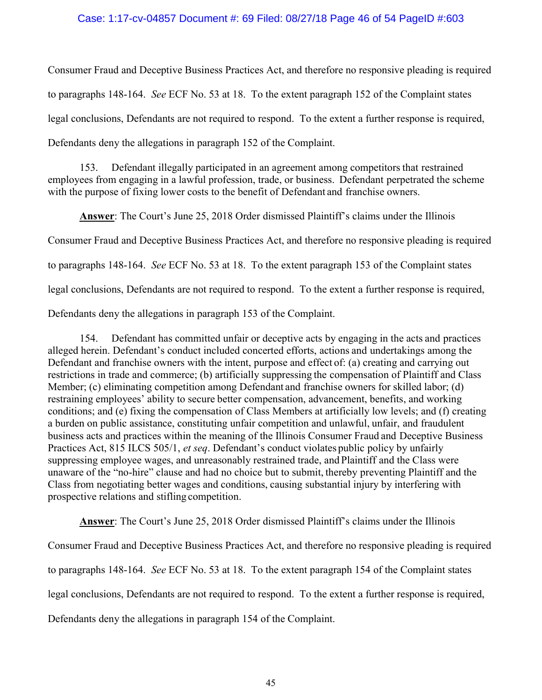#### Case: 1:17-cv-04857 Document #: 69 Filed: 08/27/18 Page 46 of 54 PageID #:603

Consumer Fraud and Deceptive Business Practices Act, and therefore no responsive pleading is required to paragraphs 148-164. See ECF No. 53 at 18. To the extent paragraph 152 of the Complaint states legal conclusions, Defendants are not required to respond. To the extent a further response is required, Defendants deny the allegations in paragraph 152 of the Complaint.

153. Defendant illegally participated in an agreement among competitors that restrained employees from engaging in a lawful profession, trade, or business. Defendant perpetrated the scheme with the purpose of fixing lower costs to the benefit of Defendant and franchise owners.

Answer: The Court's June 25, 2018 Order dismissed Plaintiff's claims under the Illinois Consumer Fraud and Deceptive Business Practices Act, and therefore no responsive pleading is required to paragraphs 148-164. See ECF No. 53 at 18. To the extent paragraph 153 of the Complaint states legal conclusions, Defendants are not required to respond. To the extent a further response is required, Defendants deny the allegations in paragraph 153 of the Complaint.

154. Defendant has committed unfair or deceptive acts by engaging in the acts and practices alleged herein. Defendant's conduct included concerted efforts, actions and undertakings among the Defendant and franchise owners with the intent, purpose and effect of: (a) creating and carrying out restrictions in trade and commerce; (b) artificially suppressing the compensation of Plaintiff and Class Member; (c) eliminating competition among Defendant and franchise owners for skilled labor; (d) restraining employees' ability to secure better compensation, advancement, benefits, and working conditions; and (e) fixing the compensation of Class Members at artificially low levels; and (f) creating a burden on public assistance, constituting unfair competition and unlawful, unfair, and fraudulent business acts and practices within the meaning of the Illinois Consumer Fraud and Deceptive Business Practices Act, 815 ILCS 505/1, et seq. Defendant's conduct violates public policy by unfairly suppressing employee wages, and unreasonably restrained trade, and Plaintiff and the Class were unaware of the "no-hire" clause and had no choice but to submit, thereby preventing Plaintiff and the Class from negotiating better wages and conditions, causing substantial injury by interfering with prospective relations and stifling competition.

Answer: The Court's June 25, 2018 Order dismissed Plaintiff's claims under the Illinois Consumer Fraud and Deceptive Business Practices Act, and therefore no responsive pleading is required to paragraphs 148-164. See ECF No. 53 at 18. To the extent paragraph 154 of the Complaint states legal conclusions, Defendants are not required to respond. To the extent a further response is required, Defendants deny the allegations in paragraph 154 of the Complaint.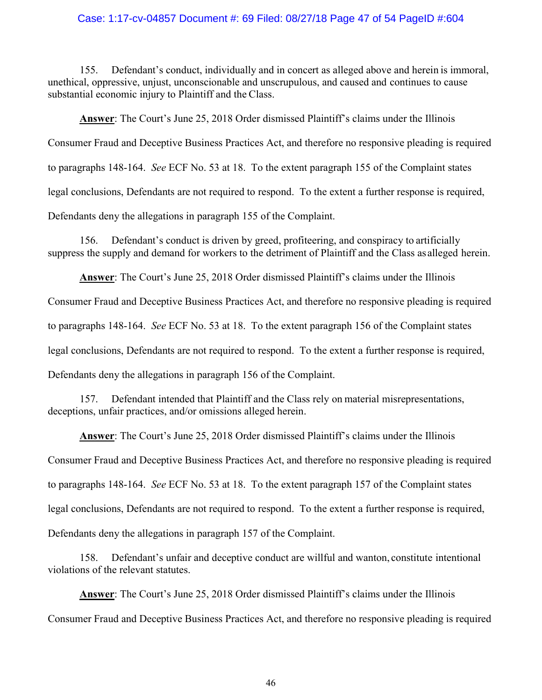#### Case: 1:17-cv-04857 Document #: 69 Filed: 08/27/18 Page 47 of 54 PageID #:604

155. Defendant's conduct, individually and in concert as alleged above and herein is immoral, unethical, oppressive, unjust, unconscionable and unscrupulous, and caused and continues to cause substantial economic injury to Plaintiff and the Class.

Answer: The Court's June 25, 2018 Order dismissed Plaintiff's claims under the Illinois Consumer Fraud and Deceptive Business Practices Act, and therefore no responsive pleading is required to paragraphs 148-164. See ECF No. 53 at 18. To the extent paragraph 155 of the Complaint states legal conclusions, Defendants are not required to respond. To the extent a further response is required, Defendants deny the allegations in paragraph 155 of the Complaint.

156. Defendant's conduct is driven by greed, profiteering, and conspiracy to artificially suppress the supply and demand for workers to the detriment of Plaintiff and the Class as alleged herein.

Answer: The Court's June 25, 2018 Order dismissed Plaintiff's claims under the Illinois Consumer Fraud and Deceptive Business Practices Act, and therefore no responsive pleading is required to paragraphs 148-164. See ECF No. 53 at 18. To the extent paragraph 156 of the Complaint states

legal conclusions, Defendants are not required to respond. To the extent a further response is required,

Defendants deny the allegations in paragraph 156 of the Complaint.

157. Defendant intended that Plaintiff and the Class rely on material misrepresentations, deceptions, unfair practices, and/or omissions alleged herein.

Answer: The Court's June 25, 2018 Order dismissed Plaintiff's claims under the Illinois Consumer Fraud and Deceptive Business Practices Act, and therefore no responsive pleading is required to paragraphs 148-164. See ECF No. 53 at 18. To the extent paragraph 157 of the Complaint states legal conclusions, Defendants are not required to respond. To the extent a further response is required, Defendants deny the allegations in paragraph 157 of the Complaint.

158. Defendant's unfair and deceptive conduct are willful and wanton, constitute intentional violations of the relevant statutes.

Answer: The Court's June 25, 2018 Order dismissed Plaintiff's claims under the Illinois Consumer Fraud and Deceptive Business Practices Act, and therefore no responsive pleading is required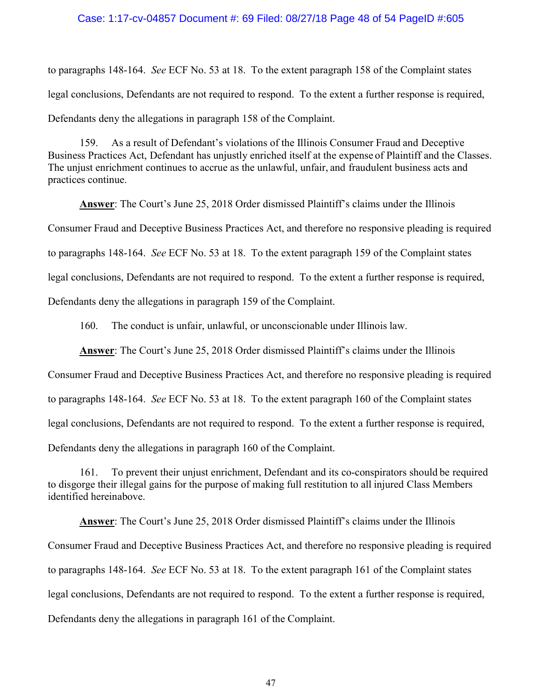#### Case: 1:17-cv-04857 Document #: 69 Filed: 08/27/18 Page 48 of 54 PageID #:605

to paragraphs 148-164. See ECF No. 53 at 18. To the extent paragraph 158 of the Complaint states legal conclusions, Defendants are not required to respond. To the extent a further response is required, Defendants deny the allegations in paragraph 158 of the Complaint.

159. As a result of Defendant's violations of the Illinois Consumer Fraud and Deceptive Business Practices Act, Defendant has unjustly enriched itself at the expense of Plaintiff and the Classes. The unjust enrichment continues to accrue as the unlawful, unfair, and fraudulent business acts and practices continue.

Answer: The Court's June 25, 2018 Order dismissed Plaintiff's claims under the Illinois Consumer Fraud and Deceptive Business Practices Act, and therefore no responsive pleading is required to paragraphs 148-164. See ECF No. 53 at 18. To the extent paragraph 159 of the Complaint states legal conclusions, Defendants are not required to respond. To the extent a further response is required, Defendants deny the allegations in paragraph 159 of the Complaint.

160. The conduct is unfair, unlawful, or unconscionable under Illinois law.

Answer: The Court's June 25, 2018 Order dismissed Plaintiff's claims under the Illinois

Consumer Fraud and Deceptive Business Practices Act, and therefore no responsive pleading is required to paragraphs 148-164. See ECF No. 53 at 18. To the extent paragraph 160 of the Complaint states legal conclusions, Defendants are not required to respond. To the extent a further response is required,

Defendants deny the allegations in paragraph 160 of the Complaint.

161. To prevent their unjust enrichment, Defendant and its co-conspirators should be required to disgorge their illegal gains for the purpose of making full restitution to all injured Class Members identified hereinabove.

Answer: The Court's June 25, 2018 Order dismissed Plaintiff's claims under the Illinois Consumer Fraud and Deceptive Business Practices Act, and therefore no responsive pleading is required to paragraphs 148-164. See ECF No. 53 at 18. To the extent paragraph 161 of the Complaint states legal conclusions, Defendants are not required to respond. To the extent a further response is required, Defendants deny the allegations in paragraph 161 of the Complaint.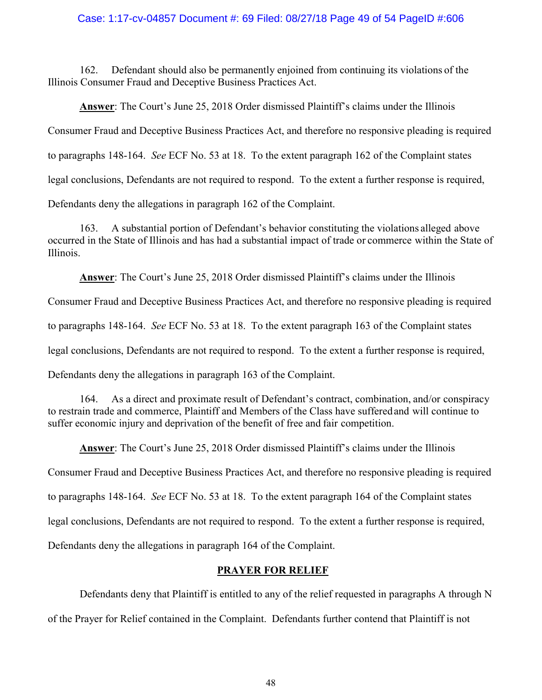#### Case: 1:17-cv-04857 Document #: 69 Filed: 08/27/18 Page 49 of 54 PageID #:606

162. Defendant should also be permanently enjoined from continuing its violations of the Illinois Consumer Fraud and Deceptive Business Practices Act.

Answer: The Court's June 25, 2018 Order dismissed Plaintiff's claims under the Illinois Consumer Fraud and Deceptive Business Practices Act, and therefore no responsive pleading is required to paragraphs 148-164. See ECF No. 53 at 18. To the extent paragraph 162 of the Complaint states legal conclusions, Defendants are not required to respond. To the extent a further response is required, Defendants deny the allegations in paragraph 162 of the Complaint.

163. A substantial portion of Defendant's behavior constituting the violations alleged above occurred in the State of Illinois and has had a substantial impact of trade or commerce within the State of Illinois.

Answer: The Court's June 25, 2018 Order dismissed Plaintiff's claims under the Illinois

Consumer Fraud and Deceptive Business Practices Act, and therefore no responsive pleading is required

to paragraphs 148-164. See ECF No. 53 at 18. To the extent paragraph 163 of the Complaint states

legal conclusions, Defendants are not required to respond. To the extent a further response is required,

Defendants deny the allegations in paragraph 163 of the Complaint.

164. As a direct and proximate result of Defendant's contract, combination, and/or conspiracy to restrain trade and commerce, Plaintiff and Members of the Class have suffered and will continue to suffer economic injury and deprivation of the benefit of free and fair competition.

Answer: The Court's June 25, 2018 Order dismissed Plaintiff's claims under the Illinois

Consumer Fraud and Deceptive Business Practices Act, and therefore no responsive pleading is required

to paragraphs 148-164. See ECF No. 53 at 18. To the extent paragraph 164 of the Complaint states

legal conclusions, Defendants are not required to respond. To the extent a further response is required,

Defendants deny the allegations in paragraph 164 of the Complaint.

#### PRAYER FOR RELIEF

Defendants deny that Plaintiff is entitled to any of the relief requested in paragraphs A through N

of the Prayer for Relief contained in the Complaint. Defendants further contend that Plaintiff is not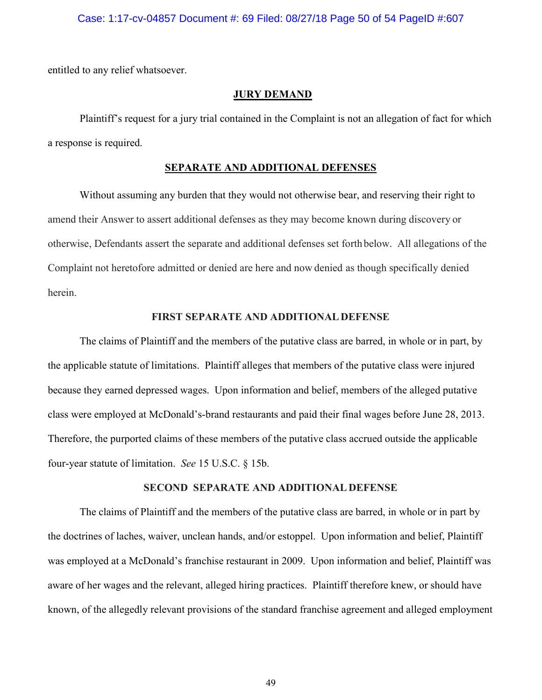#### Case: 1:17-cv-04857 Document #: 69 Filed: 08/27/18 Page 50 of 54 PageID #:607

entitled to any relief whatsoever.

#### JURY DEMAND

 Plaintiff's request for a jury trial contained in the Complaint is not an allegation of fact for which a response is required.

#### SEPARATE AND ADDITIONAL DEFENSES

Without assuming any burden that they would not otherwise bear, and reserving their right to amend their Answer to assert additional defenses as they may become known during discovery or otherwise, Defendants assert the separate and additional defenses set forth below. All allegations of the Complaint not heretofore admitted or denied are here and now denied as though specifically denied herein.

#### FIRST SEPARATE AND ADDITIONAL DEFENSE

 The claims of Plaintiff and the members of the putative class are barred, in whole or in part, by the applicable statute of limitations. Plaintiff alleges that members of the putative class were injured because they earned depressed wages. Upon information and belief, members of the alleged putative class were employed at McDonald's-brand restaurants and paid their final wages before June 28, 2013. Therefore, the purported claims of these members of the putative class accrued outside the applicable four-year statute of limitation. See 15 U.S.C. § 15b.

#### SECOND SEPARATE AND ADDITIONAL DEFENSE

 The claims of Plaintiff and the members of the putative class are barred, in whole or in part by the doctrines of laches, waiver, unclean hands, and/or estoppel. Upon information and belief, Plaintiff was employed at a McDonald's franchise restaurant in 2009. Upon information and belief, Plaintiff was aware of her wages and the relevant, alleged hiring practices. Plaintiff therefore knew, or should have known, of the allegedly relevant provisions of the standard franchise agreement and alleged employment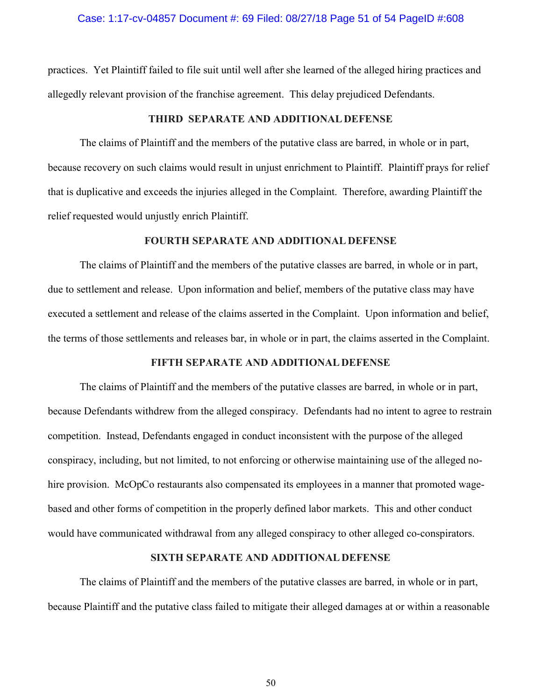#### Case: 1:17-cv-04857 Document #: 69 Filed: 08/27/18 Page 51 of 54 PageID #:608

practices. Yet Plaintiff failed to file suit until well after she learned of the alleged hiring practices and allegedly relevant provision of the franchise agreement. This delay prejudiced Defendants.

#### THIRD SEPARATE AND ADDITIONAL DEFENSE

 The claims of Plaintiff and the members of the putative class are barred, in whole or in part, because recovery on such claims would result in unjust enrichment to Plaintiff. Plaintiff prays for relief that is duplicative and exceeds the injuries alleged in the Complaint. Therefore, awarding Plaintiff the relief requested would unjustly enrich Plaintiff.

#### FOURTH SEPARATE AND ADDITIONAL DEFENSE

 The claims of Plaintiff and the members of the putative classes are barred, in whole or in part, due to settlement and release. Upon information and belief, members of the putative class may have executed a settlement and release of the claims asserted in the Complaint. Upon information and belief, the terms of those settlements and releases bar, in whole or in part, the claims asserted in the Complaint.

#### FIFTH SEPARATE AND ADDITIONAL DEFENSE

 The claims of Plaintiff and the members of the putative classes are barred, in whole or in part, because Defendants withdrew from the alleged conspiracy. Defendants had no intent to agree to restrain competition. Instead, Defendants engaged in conduct inconsistent with the purpose of the alleged conspiracy, including, but not limited, to not enforcing or otherwise maintaining use of the alleged nohire provision. McOpCo restaurants also compensated its employees in a manner that promoted wagebased and other forms of competition in the properly defined labor markets. This and other conduct would have communicated withdrawal from any alleged conspiracy to other alleged co-conspirators.

#### SIXTH SEPARATE AND ADDITIONAL DEFENSE

 The claims of Plaintiff and the members of the putative classes are barred, in whole or in part, because Plaintiff and the putative class failed to mitigate their alleged damages at or within a reasonable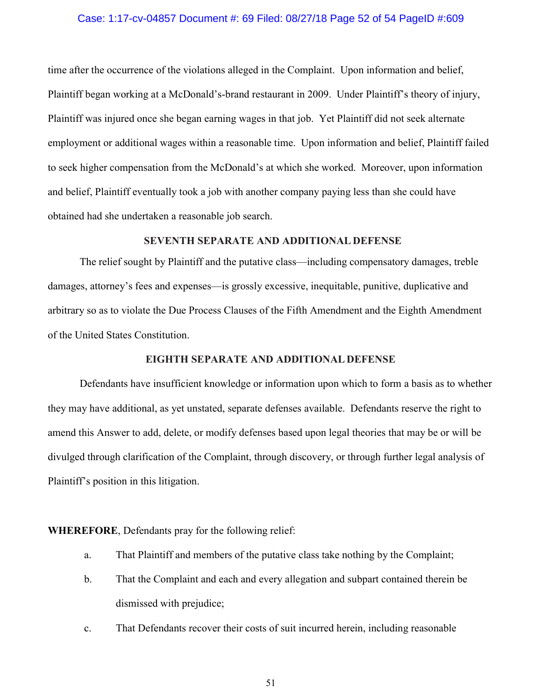#### Case: 1:17-cv-04857 Document #: 69 Filed: 08/27/18 Page 52 of 54 PageID #:609

time after the occurrence of the violations alleged in the Complaint. Upon information and belief, Plaintiff began working at a McDonald's-brand restaurant in 2009. Under Plaintiff's theory of injury, Plaintiff was injured once she began earning wages in that job. Yet Plaintiff did not seek alternate employment or additional wages within a reasonable time. Upon information and belief, Plaintiff failed to seek higher compensation from the McDonald's at which she worked. Moreover, upon information and belief, Plaintiff eventually took a job with another company paying less than she could have obtained had she undertaken a reasonable job search.

### SEVENTH SEPARATE AND ADDITIONAL DEFENSE

 The relief sought by Plaintiff and the putative class—including compensatory damages, treble damages, attorney's fees and expenses—is grossly excessive, inequitable, punitive, duplicative and arbitrary so as to violate the Due Process Clauses of the Fifth Amendment and the Eighth Amendment of the United States Constitution.

#### EIGHTH SEPARATE AND ADDITIONAL DEFENSE

 Defendants have insufficient knowledge or information upon which to form a basis as to whether they may have additional, as yet unstated, separate defenses available. Defendants reserve the right to amend this Answer to add, delete, or modify defenses based upon legal theories that may be or will be divulged through clarification of the Complaint, through discovery, or through further legal analysis of Plaintiff's position in this litigation.

#### WHEREFORE, Defendants pray for the following relief:

- a. That Plaintiff and members of the putative class take nothing by the Complaint;
- b. That the Complaint and each and every allegation and subpart contained therein be dismissed with prejudice;
- c. That Defendants recover their costs of suit incurred herein, including reasonable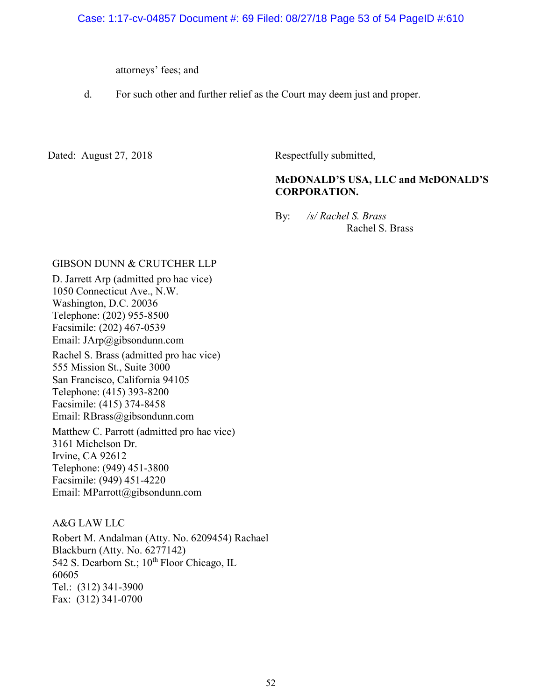attorneys' fees; and

d. For such other and further relief as the Court may deem just and proper.

Dated: August 27, 2018 Respectfully submitted,

# McDONALD'S USA, LLC and McDONALD'S CORPORATION.

By: /s/ Rachel S. Brass Rachel S. Brass

#### GIBSON DUNN & CRUTCHER LLP

D. Jarrett Arp (admitted pro hac vice) 1050 Connecticut Ave., N.W. Washington, D.C. 20036 Telephone: (202) 955-8500 Facsimile: (202) 467-0539 Email: JArp@gibsondunn.com Rachel S. Brass (admitted pro hac vice) 555 Mission St., Suite 3000 San Francisco, California 94105 Telephone: (415) 393-8200 Facsimile: (415) 374-8458 Email: RBrass@gibsondunn.com Matthew C. Parrott (admitted pro hac vice) 3161 Michelson Dr. Irvine, CA 92612 Telephone: (949) 451-3800 Facsimile: (949) 451-4220 Email: MParrott@gibsondunn.com

### A&G LAW LLC

Robert M. Andalman (Atty. No. 6209454) Rachael Blackburn (Atty. No. 6277142) 542 S. Dearborn St.; 10<sup>th</sup> Floor Chicago, IL 60605 Tel.: (312) 341-3900 Fax: (312) 341-0700